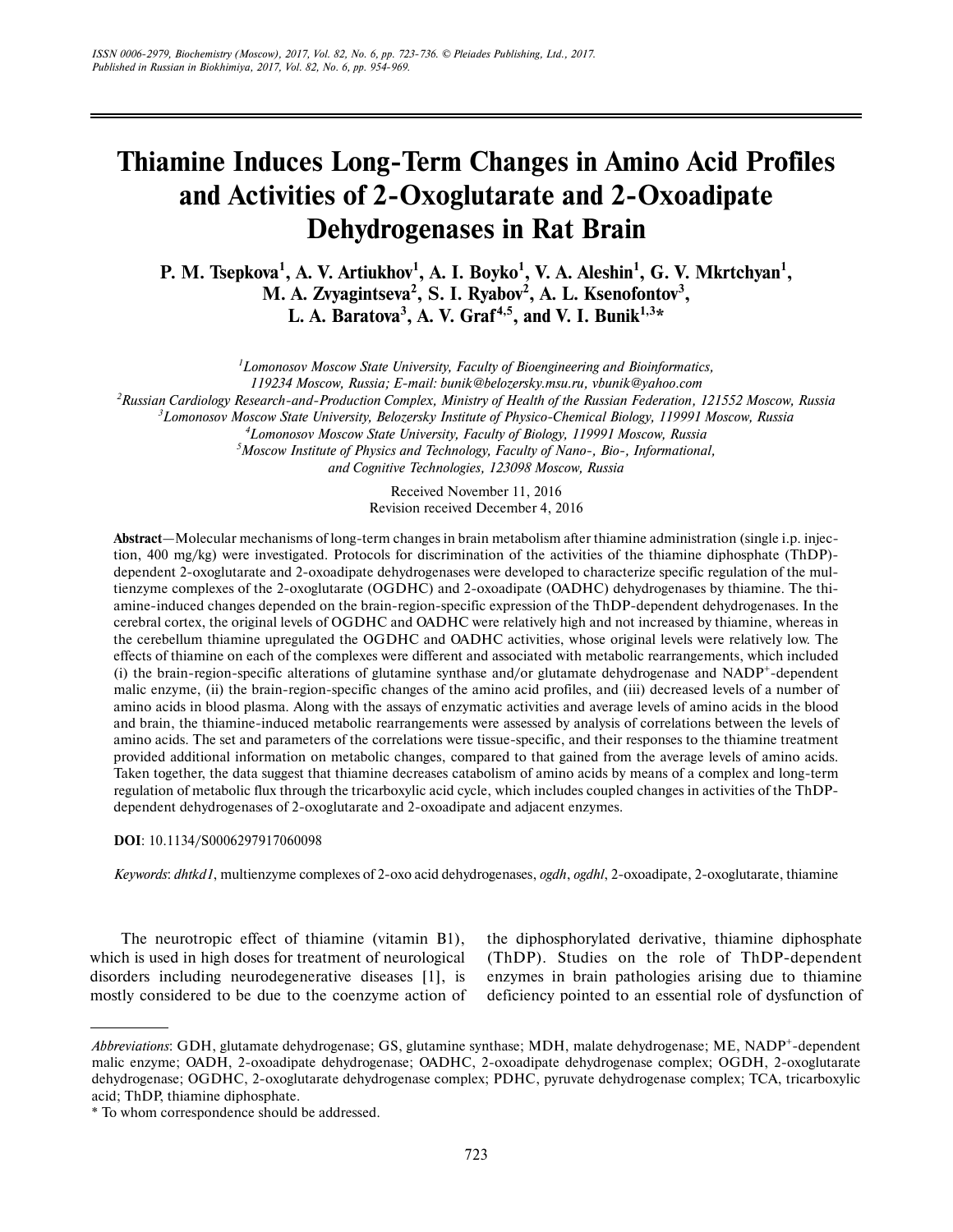# **Thiamine Induces Long-Term Changes in Amino Acid Profiles and Activities of 2-Oxoglutarate and 2-Oxoadipate Dehydrogenases in Rat Brain**

**P. M. Tsepkova<sup>1</sup>, A. V. Artiukhov<sup>1</sup>, A. I. Boyko<sup>1</sup>, V. A. Aleshin<sup>1</sup>, G. V. Mkrtchyan<sup>1</sup>,** M. A. Zvyagintseva<sup>2</sup>, S. I. Ryabov<sup>2</sup>, A. L. Ksenofontov<sup>3</sup>, **L. A. Baratova<sup>3</sup> , A. V. Graf 4,5, and V. I. Bunik1,3\***

*1 Lomonosov Moscow State University, Faculty of Bioengineering and Bioinformatics,*

*119234 Moscow, Russia; E-mail: bunik@belozersky.msu.ru, vbunik@yahoo.com*

*2 Russian Cardiology Research-and-Production Complex, Ministry of Health of the Russian Federation, 121552 Moscow, Russia*

*3 Lomonosov Moscow State University, Belozersky Institute of Physico-Chemical Biology, 119991 Moscow, Russia*

*4 Lomonosov Moscow State University, Faculty of Biology, 119991 Moscow, Russia*

*5 Moscow Institute of Physics and Technology, Faculty of Nano-, Bio-, Informational, and Cognitive Technologies, 123098 Moscow, Russia*

> Received November 11, 2016 Revision received December 4, 2016

**Abstract**—Molecular mechanisms of long-term changes in brain metabolism after thiamine administration (single i.p. injec tion, 400 mg/kg) were investigated. Protocols for discrimination of the activities of the thiamine diphosphate (ThDP) dependent 2-oxoglutarate and 2-oxoadipate dehydrogenases were developed to characterize specific regulation of the mul tienzyme complexes of the 2-oxoglutarate (OGDHC) and 2-oxoadipate (OADHC) dehydrogenases by thiamine. The thiamine-induced changes depended on the brain-region-specific expression of the ThDP-dependent dehydrogenases. In the cerebral cortex, the original levels of OGDHC and OADHC were relatively high and not increased by thiamine, whereas in the cerebellum thiamine upregulated the OGDHC and OADHC activities, whose original levels were relatively low. The effects of thiamine on each of the complexes were different and associated with metabolic rearrangements, which included (i) the brain-region-specific alterations of glutamine synthase and/or glutamate dehydrogenase and NADP<sup>+</sup>-dependent malic enzyme, (ii) the brain-region-specific changes of the amino acid profiles, and (iii) decreased levels of a number of amino acids in blood plasma. Along with the assays of enzymatic activities and average levels of amino acids in the blood and brain, the thiamine-induced metabolic rearrangements were assessed by analysis of correlations between the levels of amino acids. The set and parameters of the correlations were tissue-specific, and their responses to the thiamine treatment provided additional information on metabolic changes, compared to that gained from the average levels of amino acids. Taken together, the data suggest that thiamine decreases catabolism of amino acids by means of a complex and long-term regulation of metabolic flux through the tricarboxylic acid cycle, which includes coupled changes in activities of the ThDP dependent dehydrogenases of 2-oxoglutarate and 2-oxoadipate and adjacent enzymes.

**DOI**: 10.1134/S0006297917060098

*Keywords*: *dhtkd1*, multienzyme complexes of 2-oxo acid dehydrogenases, *ogdh*, *ogdhl*, 2-oxoadipate, 2-oxoglutarate, thiamine

The neurotropic effect of thiamine (vitamin B1), which is used in high doses for treatment of neurological disorders including neurodegenerative diseases [1], is mostly considered to be due to the coenzyme action of the diphosphorylated derivative, thiamine diphosphate (ThDP). Studies on the role of ThDP-dependent enzymes in brain pathologies arising due to thiamine deficiency pointed to an essential role of dysfunction of

*Abbreviations*: GDH, glutamate dehydrogenase; GS, glutamine synthase; MDH, malate dehydrogenase; ME, NADP<sup>+</sup>-dependent malic enzyme; OADH, 2-oxoadipate dehydrogenase; OADHC, 2-oxoadipate dehydrogenase complex; OGDH, 2-oxoglutarate dehydrogenase; OGDHC, 2-oxoglutarate dehydrogenase complex; PDHC, pyruvate dehydrogenase complex; TCA, tricarboxylic acid; ThDP, thiamine diphosphate.

<sup>\*</sup> To whom correspondence should be addressed.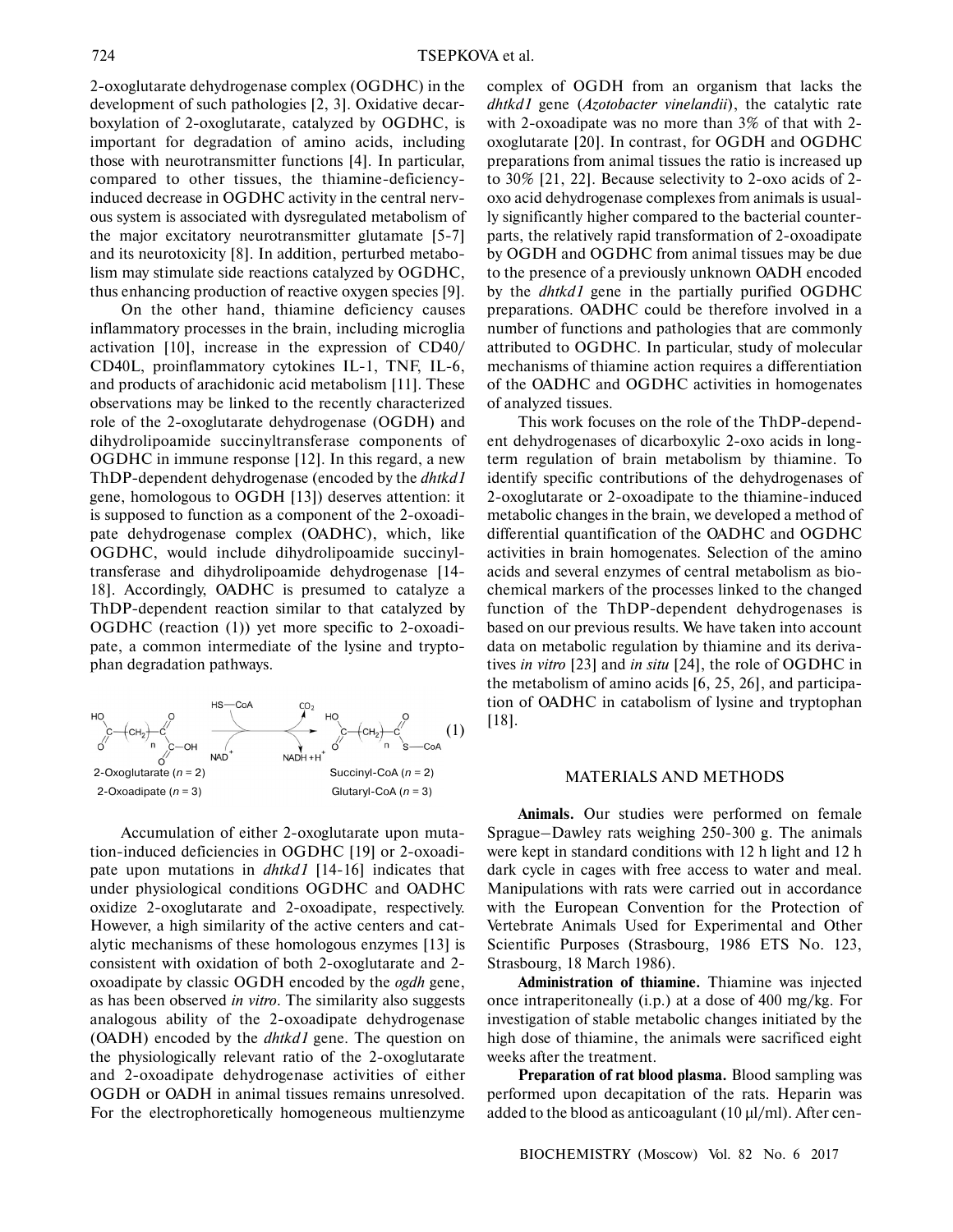2-oxoglutarate dehydrogenase complex (OGDHC) in the development of such pathologies [2, 3]. Oxidative decar boxylation of 2-oxoglutarate, catalyzed by OGDHC, is important for degradation of amino acids, including those with neurotransmitter functions [4]. In particular, compared to other tissues, the thiamine-deficiency induced decrease in OGDHC activity in the central nerv ous system is associated with dysregulated metabolism of the major excitatory neurotransmitter glutamate [5-7] and its neurotoxicity [8]. In addition, perturbed metabo lism may stimulate side reactions catalyzed by OGDHC, thus enhancing production of reactive oxygen species [9].

On the other hand, thiamine deficiency causes inflammatory processes in the brain, including microglia activation [10], increase in the expression of CD40/ CD40L, proinflammatory cytokines IL-1, TNF, IL-6, and products of arachidonic acid metabolism [11]. These observations may be linked to the recently characterized role of the 2-oxoglutarate dehydrogenase (OGDH) and dihydrolipoamide succinyltransferase components of OGDHC in immune response [12]. In this regard, a new ThDP-dependent dehydrogenase (encoded by the *dhtkd1* gene, homologous to OGDH [13]) deserves attention: it is supposed to function as a component of the 2-oxoadi pate dehydrogenase complex (OADHC), which, like OGDHC, would include dihydrolipoamide succinyl transferase and dihydrolipoamide dehydrogenase [14- 18]. Accordingly, OADHC is presumed to catalyze a ThDP-dependent reaction similar to that catalyzed by OGDHC (reaction (1)) yet more specific to 2-oxoadi pate, a common intermediate of the lysine and trypto phan degradation pathways.



Accumulation of either 2-oxoglutarate upon muta tion-induced deficiencies in OGDHC [19] or 2-oxoadi pate upon mutations in *dhtkd1* [14-16] indicates that under physiological conditions OGDHC and OADHC oxidize 2-oxoglutarate and 2-oxoadipate, respectively. However, a high similarity of the active centers and cat alytic mechanisms of these homologous enzymes [13] is consistent with oxidation of both 2-oxoglutarate and 2 oxoadipate by classic OGDH encoded by the *ogdh* gene, as has been observed *in vitro*. The similarity also suggests analogous ability of the 2-oxoadipate dehydrogenase (OADH) encoded by the *dhtkd1* gene. The question on the physiologically relevant ratio of the 2-oxoglutarate and 2-oxoadipate dehydrogenase activities of either OGDH or OADH in animal tissues remains unresolved. For the electrophoretically homogeneous multienzyme

complex of OGDH from an organism that lacks the *dhtkd1* gene (*Azotobacter vinelandii*), the catalytic rate with 2-oxoadipate was no more than 3% of that with 2 oxoglutarate [20]. In contrast, for OGDH and OGDHC preparations from animal tissues the ratio is increased up to 30% [21, 22]. Because selectivity to 2-oxo acids of 2 oxo acid dehydrogenase complexes from animals is usual ly significantly higher compared to the bacterial counter parts, the relatively rapid transformation of 2-oxoadipate by OGDH and OGDHC from animal tissues may be due to the presence of a previously unknown OADH encoded by the *dhtkd1* gene in the partially purified OGDHC preparations. OADHC could be therefore involved in a number of functions and pathologies that are commonly attributed to OGDHC. In particular, study of molecular mechanisms of thiamine action requires a differentiation of the OADHC and OGDHC activities in homogenates of analyzed tissues.

This work focuses on the role of the ThDP-depend ent dehydrogenases of dicarboxylic 2-oxo acids in long term regulation of brain metabolism by thiamine. To identify specific contributions of the dehydrogenases of 2-oxoglutarate or 2-oxoadipate to the thiamine-induced metabolic changes in the brain, we developed a method of differential quantification of the OADHC and OGDHC activities in brain homogenates. Selection of the amino acids and several enzymes of central metabolism as bio chemical markers of the processes linked to the changed function of the ThDP-dependent dehydrogenases is based on our previous results. We have taken into account data on metabolic regulation by thiamine and its deriva tives *in vitro* [23] and *in situ* [24], the role of OGDHC in the metabolism of amino acids [6, 25, 26], and participa tion of OADHC in catabolism of lysine and tryptophan [18].

#### MATERIALS AND METHODS

**Animals.** Our studies were performed on female Sprague–Dawley rats weighing 250-300 g. The animals were kept in standard conditions with 12 h light and 12 h dark cycle in cages with free access to water and meal. Manipulations with rats were carried out in accordance with the European Convention for the Protection of Vertebrate Animals Used for Experimental and Other Scientific Purposes (Strasbourg, 1986 ETS No. 123, Strasbourg, 18 March 1986).

**Administration of thiamine.** Thiamine was injected once intraperitoneally (i.p.) at a dose of 400 mg/kg. For investigation of stable metabolic changes initiated by the high dose of thiamine, the animals were sacrificed eight weeks after the treatment.

**Preparation of rat blood plasma.** Blood sampling was performed upon decapitation of the rats. Heparin was added to the blood as anticoagulant (10 μl/ml). After cen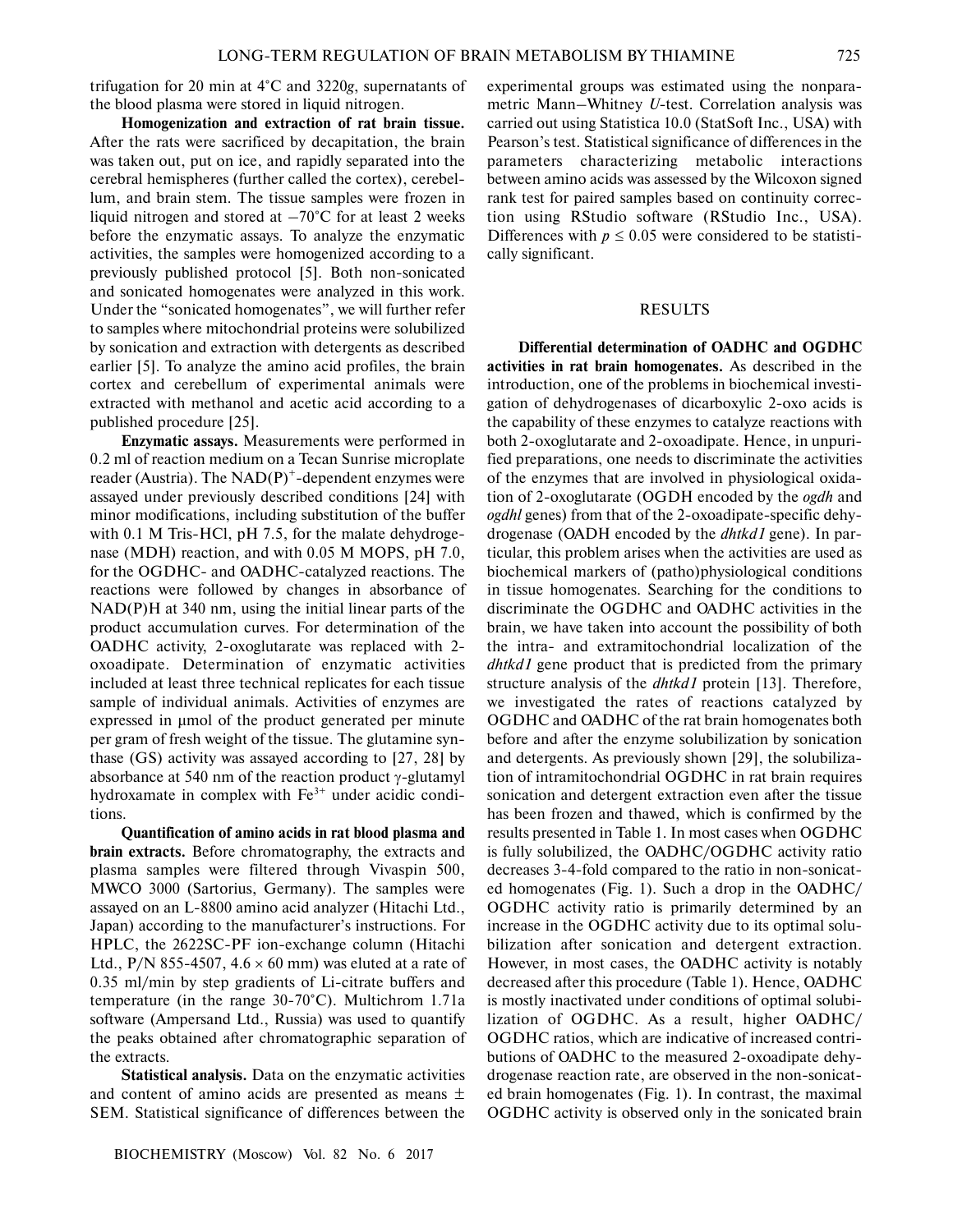trifugation for 20 min at 4°C and 3220*g*, supernatants of the blood plasma were stored in liquid nitrogen.

**Homogenization and extraction of rat brain tissue.** After the rats were sacrificed by decapitation, the brain was taken out, put on ice, and rapidly separated into the cerebral hemispheres (further called the cortex), cerebel lum, and brain stem. The tissue samples were frozen in liquid nitrogen and stored at  $-70^{\circ}$ C for at least 2 weeks before the enzymatic assays. To analyze the enzymatic activities, the samples were homogenized according to a previously published protocol [5]. Both non-sonicated and sonicated homogenates were analyzed in this work. Under the "sonicated homogenates", we will further refer to samples where mitochondrial proteins were solubilized by sonication and extraction with detergents as described earlier [5]. To analyze the amino acid profiles, the brain cortex and cerebellum of experimental animals were extracted with methanol and acetic acid according to a published procedure [25].

**Enzymatic assays.** Measurements were performed in 0.2 ml of reaction medium on a Tecan Sunrise microplate reader (Austria). The  $NAD(P)^+$ -dependent enzymes were assayed under previously described conditions [24] with minor modifications, including substitution of the buffer with 0.1 M Tris-HCl, pH 7.5, for the malate dehydrogenase (MDH) reaction, and with 0.05 M MOPS, pH 7.0, for the OGDHC- and OADHC-catalyzed reactions. The reactions were followed by changes in absorbance of NAD(P)H at 340 nm, using the initial linear parts of the product accumulation curves. For determination of the OADHC activity, 2-oxoglutarate was replaced with 2 oxoadipate. Determination of enzymatic activities included at least three technical replicates for each tissue sample of individual animals. Activities of enzymes are expressed in μmol of the product generated per minute per gram of fresh weight of the tissue. The glutamine syn thase (GS) activity was assayed according to [27, 28] by absorbance at 540 nm of the reaction product γ-glutamyl hydroxamate in complex with  $Fe<sup>3+</sup>$  under acidic conditions.

**Quantification of amino acids in rat blood plasma and brain extracts.** Before chromatography, the extracts and plasma samples were filtered through Vivaspin 500, MWCO 3000 (Sartorius, Germany). The samples were assayed on an L-8800 amino acid analyzer (Hitachi Ltd., Japan) according to the manufacturer's instructions. For HPLC, the 2622SC-PF ion-exchange column (Hitachi Ltd.,  $P/N$  855-4507, 4.6  $\times$  60 mm) was eluted at a rate of 0.35 ml/min by step gradients of Li-citrate buffers and temperature (in the range 30-70°C). Multichrom 1.71a software (Ampersand Ltd., Russia) was used to quantify the peaks obtained after chromatographic separation of the extracts.

**Statistical analysis.** Data on the enzymatic activities and content of amino acids are presented as means ± SEM. Statistical significance of differences between the

experimental groups was estimated using the nonpara metric Mann–Whitney *U*-test. Correlation analysis was carried out using Statistica 10.0 (StatSoft Inc., USA) with Pearson's test. Statistical significance of differences in the parameters characterizing metabolic interactions between amino acids was assessed by the Wilcoxon signed rank test for paired samples based on continuity correc tion using RStudio software (RStudio Inc., USA). Differences with  $p \le 0.05$  were considered to be statistically significant.

## RESULTS

**Differential determination of OADHC and OGDHC activities in rat brain homogenates.** As described in the introduction, one of the problems in biochemical investi gation of dehydrogenases of dicarboxylic 2-oxo acids is the capability of these enzymes to catalyze reactions with both 2-oxoglutarate and 2-oxoadipate. Hence, in unpuri fied preparations, one needs to discriminate the activities of the enzymes that are involved in physiological oxida tion of 2-oxoglutarate (OGDH encoded by the *ogdh* and *ogdhl* genes) from that of the 2-oxoadipate-specific dehy drogenase (OADH encoded by the *dhtkd1* gene). In par ticular, this problem arises when the activities are used as biochemical markers of (patho)physiological conditions in tissue homogenates. Searching for the conditions to discriminate the OGDHC and OADHC activities in the brain, we have taken into account the possibility of both the intra- and extramitochondrial localization of the *dhtkd1* gene product that is predicted from the primary structure analysis of the *dhtkd1* protein [13]. Therefore, we investigated the rates of reactions catalyzed by OGDHC and OADHC of the rat brain homogenates both before and after the enzyme solubilization by sonication and detergents. As previously shown [29], the solubiliza tion of intramitochondrial OGDHC in rat brain requires sonication and detergent extraction even after the tissue has been frozen and thawed, which is confirmed by the results presented in Table 1. In most cases when OGDHC is fully solubilized, the OADHC/OGDHC activity ratio decreases 3-4-fold compared to the ratio in non-sonicat ed homogenates (Fig. 1). Such a drop in the OADHC/ OGDHC activity ratio is primarily determined by an increase in the OGDHC activity due to its optimal solu bilization after sonication and detergent extraction. However, in most cases, the OADHC activity is notably decreased after this procedure (Table 1). Hence, OADHC is mostly inactivated under conditions of optimal solubi lization of OGDHC. As a result, higher OADHC/ OGDHC ratios, which are indicative of increased contri butions of OADHC to the measured 2-oxoadipate dehy drogenase reaction rate, are observed in the non-sonicat ed brain homogenates (Fig. 1). In contrast, the maximal OGDHC activity is observed only in the sonicated brain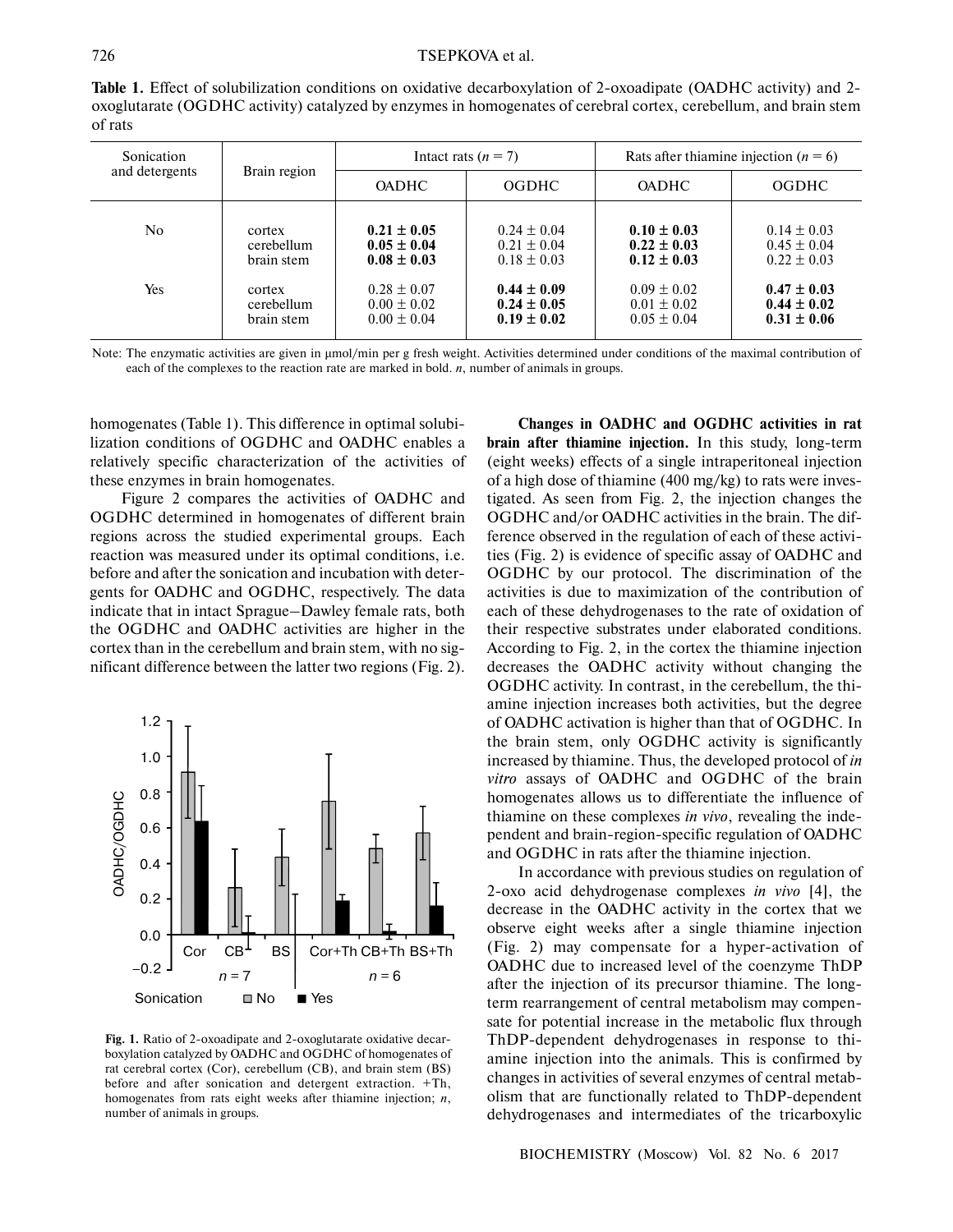Table 1. Effect of solubilization conditions on oxidative decarboxylation of 2-oxoadipate (OADHC activity) and 2oxoglutarate (OGDHC activity) catalyzed by enzymes in homogenates of cerebral cortex, cerebellum, and brain stem of rats

| Sonication<br>and detergents | Brain region |                 | Intact rats $(n = 7)$ | Rats after thiamine injection ( $n = 6$ ) |                 |  |  |  |  |  |
|------------------------------|--------------|-----------------|-----------------------|-------------------------------------------|-----------------|--|--|--|--|--|
|                              |              | <b>OADHC</b>    | <b>OGDHC</b>          | <b>OADHC</b>                              | <b>OGDHC</b>    |  |  |  |  |  |
| No.                          | cortex       | $0.21 \pm 0.05$ | $0.24 \pm 0.04$       | $0.10 \pm 0.03$                           | $0.14 \pm 0.03$ |  |  |  |  |  |
|                              | cerebellum   | $0.05 \pm 0.04$ | $0.21 \pm 0.04$       | $0.22 \pm 0.03$                           | $0.45 \pm 0.04$ |  |  |  |  |  |
|                              | brain stem   | $0.08 \pm 0.03$ | $0.18 \pm 0.03$       | $0.12 \pm 0.03$                           | $0.22 \pm 0.03$ |  |  |  |  |  |
| Yes                          | cortex       | $0.28 \pm 0.07$ | $0.44 \pm 0.09$       | $0.09 \pm 0.02$                           | $0.47 \pm 0.03$ |  |  |  |  |  |
|                              | cerebellum   | $0.00 \pm 0.02$ | $0.24 \pm 0.05$       | $0.01 \pm 0.02$                           | $0.44 \pm 0.02$ |  |  |  |  |  |
|                              | brain stem   | $0.00 \pm 0.04$ | $0.19 \pm 0.02$       | $0.05 \pm 0.04$                           | $0.31 \pm 0.06$ |  |  |  |  |  |

Note: The enzymatic activities are given in μmol/min per g fresh weight. Activities determined under conditions of the maximal contribution of each of the complexes to the reaction rate are marked in bold. *n*, number of animals in groups.

homogenates (Table 1). This difference in optimal solubi lization conditions of OGDHC and OADHC enables a relatively specific characterization of the activities of these enzymes in brain homogenates.

Figure 2 compares the activities of OADHC and OGDHC determined in homogenates of different brain regions across the studied experimental groups. Each reaction was measured under its optimal conditions, i.e. before and after the sonication and incubation with deter gents for OADHC and OGDHC, respectively. The data indicate that in intact Sprague–Dawley female rats, both the OGDHC and OADHC activities are higher in the cortex than in the cerebellum and brain stem, with no sig nificant difference between the latter two regions (Fig. 2).



Fig. 1. Ratio of 2-oxoadipate and 2-oxoglutarate oxidative decarboxylation catalyzed by OADHC and OGDHC of homogenates of rat cerebral cortex (Cor), cerebellum (CB), and brain stem (BS) before and after sonication and detergent extraction. +Th, homogenates from rats eight weeks after thiamine injection; *n*, number of animals in groups.

**Changes in OADHC and OGDHC activities in rat brain after thiamine injection.** In this study, long-term (eight weeks) effects of a single intraperitoneal injection of a high dose of thiamine (400 mg/kg) to rats were inves tigated. As seen from Fig. 2, the injection changes the OGDHC and/or OADHC activities in the brain. The dif ference observed in the regulation of each of these activi ties (Fig. 2) is evidence of specific assay of OADHC and OGDHC by our protocol. The discrimination of the activities is due to maximization of the contribution of each of these dehydrogenases to the rate of oxidation of their respective substrates under elaborated conditions. According to Fig. 2, in the cortex the thiamine injection decreases the OADHC activity without changing the OGDHC activity. In contrast, in the cerebellum, the thi amine injection increases both activities, but the degree of OADHC activation is higher than that of OGDHC. In the brain stem, only OGDHC activity is significantly increased by thiamine. Thus, the developed protocol of *in vitro* assays of OADHC and OGDHC of the brain homogenates allows us to differentiate the influence of thiamine on these complexes *in vivo*, revealing the inde pendent and brain-region-specific regulation of OADHC and OGDHC in rats after the thiamine injection.

In accordance with previous studies on regulation of 2-oxo acid dehydrogenase complexes *in vivo* [4], the decrease in the OADHC activity in the cortex that we observe eight weeks after a single thiamine injection (Fig. 2) may compensate for a hyper-activation of OADHC due to increased level of the coenzyme ThDP after the injection of its precursor thiamine. The long term rearrangement of central metabolism may compen sate for potential increase in the metabolic flux through ThDP-dependent dehydrogenases in response to thi amine injection into the animals. This is confirmed by changes in activities of several enzymes of central metab olism that are functionally related to ThDP-dependent dehydrogenases and intermediates of the tricarboxylic

BIOCHEMISTRY (Moscow) Vol. 82 No. 6 2017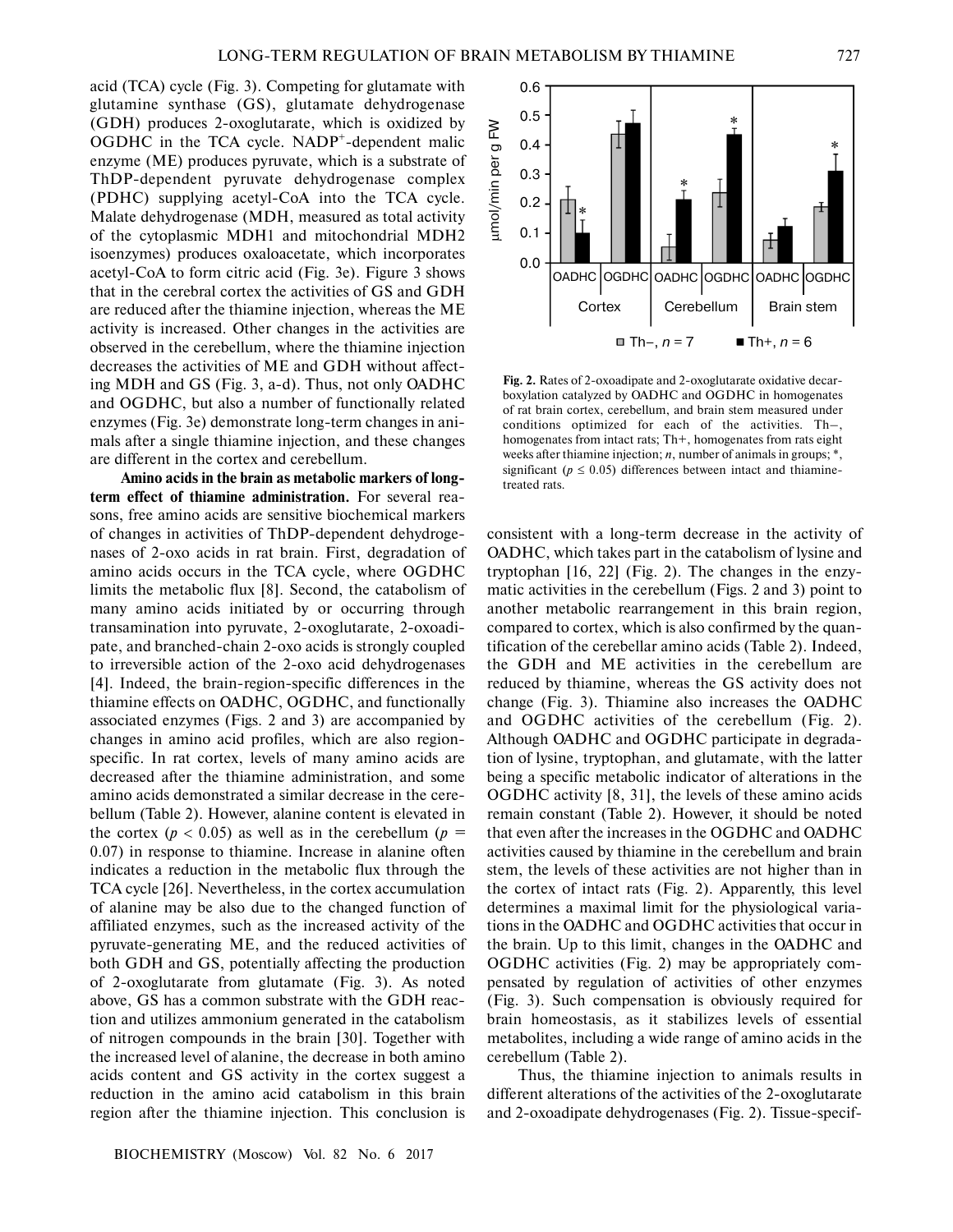acid (TCA) cycle (Fig. 3). Competing for glutamate with glutamine synthase (GS), glutamate dehydrogenase (GDH) produces 2-oxoglutarate, which is oxidized by OGDHC in the TCA cycle. NADP<sup>+</sup>-dependent malic enzyme (ME) produces pyruvate, which is a substrate of ThDP-dependent pyruvate dehydrogenase complex (PDHC) supplying acetyl-CoA into the TCA cycle. Malate dehydrogenase (MDH, measured as total activity of the cytoplasmic MDH1 and mitochondrial MDH2 isoenzymes) produces oxaloacetate, which incorporates acetyl-CoA to form citric acid (Fig. 3e). Figure 3 shows that in the cerebral cortex the activities of GS and GDH are reduced after the thiamine injection, whereas the ME activity is increased. Other changes in the activities are observed in the cerebellum, where the thiamine injection decreases the activities of ME and GDH without affect ing MDH and GS (Fig. 3, a-d). Thus, not only OADHC and OGDHC, but also a number of functionally related enzymes (Fig. 3e) demonstrate long-term changes in ani mals after a single thiamine injection, and these changes are different in the cortex and cerebellum.

**Amino acids in the brain as metabolic markers of long term effect of thiamine administration.** For several rea sons, free amino acids are sensitive biochemical markers of changes in activities of ThDP-dependent dehydroge nases of 2-oxo acids in rat brain. First, degradation of amino acids occurs in the TCA cycle, where OGDHC limits the metabolic flux [8]. Second, the catabolism of many amino acids initiated by or occurring through transamination into pyruvate, 2-oxoglutarate, 2-oxoadi pate, and branched-chain 2-oxo acids is strongly coupled to irreversible action of the 2-oxo acid dehydrogenases [4]. Indeed, the brain-region-specific differences in the thiamine effects on OADHC, OGDHC, and functionally associated enzymes (Figs. 2 and 3) are accompanied by changes in amino acid profiles, which are also region specific. In rat cortex, levels of many amino acids are decreased after the thiamine administration, and some amino acids demonstrated a similar decrease in the cere bellum (Table 2). However, alanine content is elevated in the cortex ( $p < 0.05$ ) as well as in the cerebellum ( $p =$ 0.07) in response to thiamine. Increase in alanine often indicates a reduction in the metabolic flux through the TCA cycle [26]. Nevertheless, in the cortex accumulation of alanine may be also due to the changed function of affiliated enzymes, such as the increased activity of the pyruvate-generating ME, and the reduced activities of both GDH and GS, potentially affecting the production of 2-oxoglutarate from glutamate (Fig. 3). As noted above, GS has a common substrate with the GDH reac tion and utilizes ammonium generated in the catabolism of nitrogen compounds in the brain [30]. Together with the increased level of alanine, the decrease in both amino acids content and GS activity in the cortex suggest a reduction in the amino acid catabolism in this brain region after the thiamine injection. This conclusion is



**Fig. 2.** Rates of 2-oxoadipate and 2-oxoglutarate oxidative decar boxylation catalyzed by OADHC and OGDHC in homogenates of rat brain cortex, cerebellum, and brain stem measured under conditions optimized for each of the activities. Th–, homogenates from intact rats; Th+, homogenates from rats eight weeks after thiamine injection; *n*, number of animals in groups; \*, significant ( $p \leq 0.05$ ) differences between intact and thiaminetreated rats.

consistent with a long-term decrease in the activity of OADHC, which takes part in the catabolism of lysine and tryptophan [16, 22] (Fig. 2). The changes in the enzy matic activities in the cerebellum (Figs. 2 and 3) point to another metabolic rearrangement in this brain region, compared to cortex, which is also confirmed by the quan tification of the cerebellar amino acids (Table 2). Indeed, the GDH and ME activities in the cerebellum are reduced by thiamine, whereas the GS activity does not change (Fig. 3). Thiamine also increases the OADHC and OGDHC activities of the cerebellum (Fig. 2). Although OADHC and OGDHC participate in degrada tion of lysine, tryptophan, and glutamate, with the latter being a specific metabolic indicator of alterations in the OGDHC activity [8, 31], the levels of these amino acids remain constant (Table 2). However, it should be noted that even after the increases in the OGDHC and OADHC activities caused by thiamine in the cerebellum and brain stem, the levels of these activities are not higher than in the cortex of intact rats (Fig. 2). Apparently, this level determines a maximal limit for the physiological varia tions in the OADHC and OGDHC activities that occur in the brain. Up to this limit, changes in the OADHC and OGDHC activities (Fig. 2) may be appropriately com pensated by regulation of activities of other enzymes (Fig. 3). Such compensation is obviously required for brain homeostasis, as it stabilizes levels of essential metabolites, including a wide range of amino acids in the cerebellum (Table 2).

Thus, the thiamine injection to animals results in different alterations of the activities of the 2-oxoglutarate and 2-oxoadipate dehydrogenases (Fig. 2). Tissue-specif-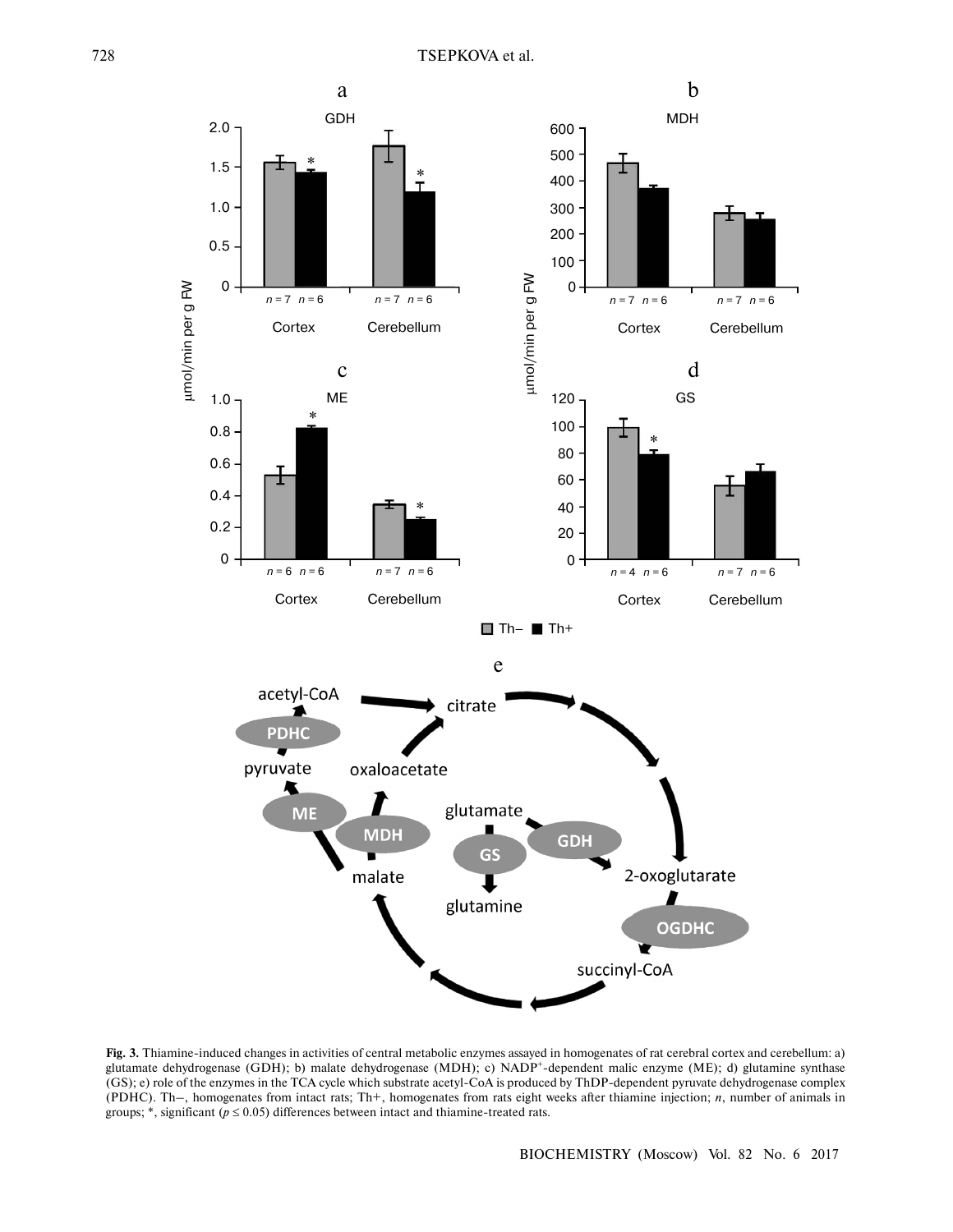

**Fig. 3.** Thiamine-induced changes in activities of central metabolic enzymes assayed in homogenates of rat cerebral cortex and cerebellum: a) glutamate dehydrogenase (GDH); b) malate dehydrogenase (MDH); c) NADP<sup>+</sup>-dependent malic enzyme (ME); d) glutamine synthase (GS); e) role of the enzymes in the TCA cycle which substrate acetyl-CoA is produced by ThDP-dependent pyruvate dehydrogenase complex (PDHC). Th–, homogenates from intact rats; Th+, homogenates from rats eight weeks after thiamine injection; *n*, number of animals in groups;  $*$ , significant ( $p \le 0.05$ ) differences between intact and thiamine-treated rats.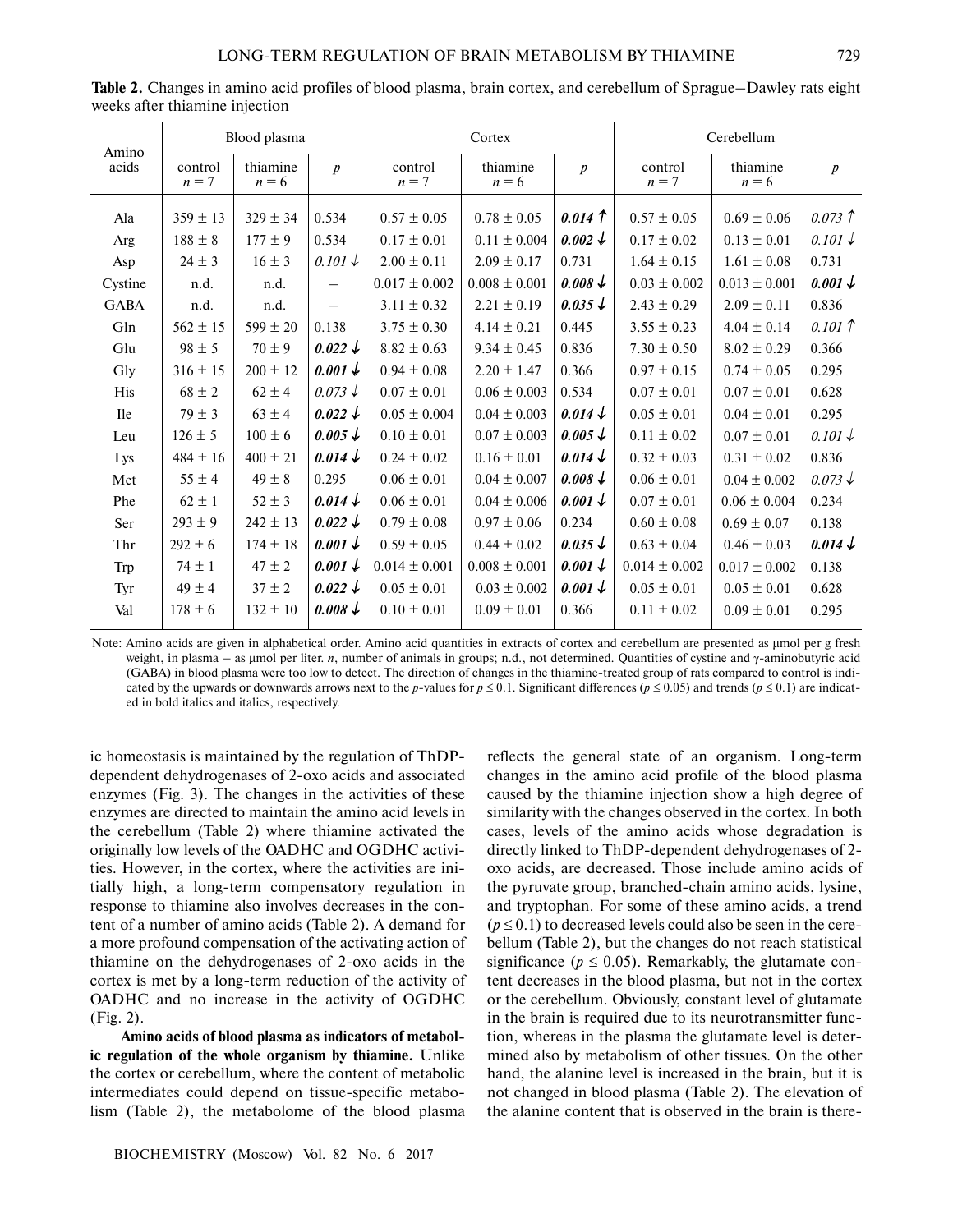| Amino       |                    | Blood plasma        |                          |                   | Cortex              |                    | Cerebellum         |                     |                    |  |  |  |  |
|-------------|--------------------|---------------------|--------------------------|-------------------|---------------------|--------------------|--------------------|---------------------|--------------------|--|--|--|--|
| acids       | control<br>$n = 7$ | thiamine<br>$n = 6$ | $\boldsymbol{p}$         | control<br>$n=7$  | thiamine<br>$n = 6$ | $\boldsymbol{p}$   | control<br>$n = 7$ | thiamine<br>$n = 6$ | $\boldsymbol{p}$   |  |  |  |  |
| Ala         | $359 \pm 13$       | $329 \pm 34$        | 0.534                    | $0.57 \pm 0.05$   | $0.78 \pm 0.05$     | $0.014 \uparrow$   | $0.57 \pm 0.05$    | $0.69 \pm 0.06$     | $0.073$ $\uparrow$ |  |  |  |  |
| Arg         | $188 \pm 8$        | $177 \pm 9$         | 0.534                    | $0.17 \pm 0.01$   | $0.11 \pm 0.004$    | $0.002 \downarrow$ | $0.17 \pm 0.02$    | $0.13 \pm 0.01$     | $0.101\downarrow$  |  |  |  |  |
| Asp         | $24 \pm 3$         | $16 \pm 3$          | $0.101\downarrow$        | $2.00 \pm 0.11$   | $2.09 \pm 0.17$     | 0.731              | $1.64 \pm 0.15$    | $1.61 \pm 0.08$     | 0.731              |  |  |  |  |
| Cystine     | n.d.               | n.d.                | $\overline{\phantom{0}}$ | $0.017 \pm 0.002$ | $0.008 \pm 0.001$   | $0.008\downarrow$  | $0.03 \pm 0.002$   | $0.013 \pm 0.001$   | $0.001 \downarrow$ |  |  |  |  |
| <b>GABA</b> | n.d.               | n.d.                | $\overline{\phantom{0}}$ | $3.11 \pm 0.32$   | $2.21 \pm 0.19$     | $0.035 \downarrow$ | $2.43 \pm 0.29$    | $2.09 \pm 0.11$     | 0.836              |  |  |  |  |
| Gln         | $562 \pm 15$       | $599 \pm 20$        | 0.138                    | $3.75 \pm 0.30$   | $4.14 \pm 0.21$     | 0.445              | $3.55 \pm 0.23$    | $4.04 \pm 0.14$     | $0.101 \uparrow$   |  |  |  |  |
| Glu         | $98 \pm 5$         | $70 \pm 9$          | $0.022 \downarrow$       | $8.82 \pm 0.63$   | $9.34 \pm 0.45$     | 0.836              | $7.30 \pm 0.50$    | $8.02 \pm 0.29$     | 0.366              |  |  |  |  |
| Gly         | $316 \pm 15$       | $200 \pm 12$        | $0.001 \downarrow$       | $0.94 \pm 0.08$   | $2.20 \pm 1.47$     | 0.366              | $0.97 \pm 0.15$    | $0.74 \pm 0.05$     | 0.295              |  |  |  |  |
| His         | $68 \pm 2$         | $62 \pm 4$          | $0.073 \downarrow$       | $0.07 \pm 0.01$   | $0.06 \pm 0.003$    | 0.534              | $0.07 \pm 0.01$    | $0.07 \pm 0.01$     | 0.628              |  |  |  |  |
| <b>Ile</b>  | $79 \pm 3$         | $63 \pm 4$          | $0.022 \downarrow$       | $0.05 \pm 0.004$  | $0.04 \pm 0.003$    | $0.014\downarrow$  | $0.05 \pm 0.01$    | $0.04 \pm 0.01$     | 0.295              |  |  |  |  |
| Leu         | $126 \pm 5$        | $100 \pm 6$         | $0.005\downarrow$        | $0.10 \pm 0.01$   | $0.07 \pm 0.003$    | $0.005\downarrow$  | $0.11 \pm 0.02$    | $0.07 \pm 0.01$     | $0.101\downarrow$  |  |  |  |  |
| Lys         | $484 \pm 16$       | $400 \pm 21$        | $0.014 \downarrow$       | $0.24 \pm 0.02$   | $0.16 \pm 0.01$     | $0.014\downarrow$  | $0.32 \pm 0.03$    | $0.31 \pm 0.02$     | 0.836              |  |  |  |  |
| Met         | $55 \pm 4$         | $49 \pm 8$          | 0.295                    | $0.06 \pm 0.01$   | $0.04 \pm 0.007$    | $0.008\downarrow$  | $0.06 \pm 0.01$    | $0.04 \pm 0.002$    | $0.073\downarrow$  |  |  |  |  |
| Phe         | $62 \pm 1$         | $52 \pm 3$          | $0.014\downarrow$        | $0.06 \pm 0.01$   | $0.04 \pm 0.006$    | $0.001 \downarrow$ | $0.07 \pm 0.01$    | $0.06 \pm 0.004$    | 0.234              |  |  |  |  |
| Ser         | $293 \pm 9$        | $242 \pm 13$        | $0.022 \downarrow$       | $0.79 \pm 0.08$   | $0.97 \pm 0.06$     | 0.234              | $0.60 \pm 0.08$    | $0.69 \pm 0.07$     | 0.138              |  |  |  |  |
| Thr         | $292 \pm 6$        | $174 \pm 18$        | $0.001 \downarrow$       | $0.59 \pm 0.05$   | $0.44 \pm 0.02$     | $0.035 \downarrow$ | $0.63 \pm 0.04$    | $0.46 \pm 0.03$     | $0.014\downarrow$  |  |  |  |  |
| Trp         | $74 \pm 1$         | $47 \pm 2$          | $0.001 \downarrow$       | $0.014 \pm 0.001$ | $0.008 \pm 0.001$   | $0.001 \downarrow$ | $0.014 \pm 0.002$  | $0.017 \pm 0.002$   | 0.138              |  |  |  |  |
| Tyr         | $49 \pm 4$         | $37 \pm 2$          | $0.022 \downarrow$       | $0.05 \pm 0.01$   | $0.03 \pm 0.002$    | $0.001 \downarrow$ | $0.05 \pm 0.01$    | $0.05\pm0.01$       | 0.628              |  |  |  |  |
| Val         | $178 \pm 6$        | $132 \pm 10$        | $0.008\downarrow$        | $0.10\pm0.01$     | $0.09 \pm 0.01$     | 0.366              | $0.11 \pm 0.02$    | $0.09 \pm 0.01$     | 0.295              |  |  |  |  |

**Table 2.** Changes in amino acid profiles of blood plasma, brain cortex, and cerebellum of Sprague–Dawley rats eight weeks after thiamine injection

Note: Amino acids are given in alphabetical order. Amino acid quantities in extracts of cortex and cerebellum are presented as μmol per g fresh weight, in plasma – as μmol per liter. *n*, number of animals in groups; n.d., not determined. Quantities of cystine and γ-aminobutyric acid (GABA) in blood plasma were too low to detect. The direction of changes in the thiamine-treated group of rats compared to control is indi cated by the upwards or downwards arrows next to the *p*-values for  $p \le 0.1$ . Significant differences ( $p \le 0.05$ ) and trends ( $p \le 0.1$ ) are indicated in bold italics and italics, respectively.

ic homeostasis is maintained by the regulation of ThDP dependent dehydrogenases of 2-oxo acids and associated enzymes (Fig. 3). The changes in the activities of these enzymes are directed to maintain the amino acid levels in the cerebellum (Table 2) where thiamine activated the originally low levels of the OADHC and OGDHC activi ties. However, in the cortex, where the activities are ini tially high, a long-term compensatory regulation in response to thiamine also involves decreases in the con tent of a number of amino acids (Table 2). A demand for a more profound compensation of the activating action of thiamine on the dehydrogenases of 2-oxo acids in the cortex is met by a long-term reduction of the activity of OADHC and no increase in the activity of OGDHC (Fig. 2).

**Amino acids of blood plasma as indicators of metabol ic regulation of the whole organism by thiamine.** Unlike the cortex or cerebellum, where the content of metabolic intermediates could depend on tissue-specific metabo lism (Table 2), the metabolome of the blood plasma

reflects the general state of an organism. Long-term changes in the amino acid profile of the blood plasma caused by the thiamine injection show a high degree of similarity with the changes observed in the cortex. In both cases, levels of the amino acids whose degradation is directly linked to ThDP-dependent dehydrogenases of 2 oxo acids, are decreased. Those include amino acids of the pyruvate group, branched-chain amino acids, lysine, and tryptophan. For some of these amino acids, a trend  $(p \le 0.1)$  to decreased levels could also be seen in the cerebellum (Table 2), but the changes do not reach statistical significance ( $p \leq 0.05$ ). Remarkably, the glutamate content decreases in the blood plasma, but not in the cortex or the cerebellum. Obviously, constant level of glutamate in the brain is required due to its neurotransmitter func tion, whereas in the plasma the glutamate level is deter mined also by metabolism of other tissues. On the other hand, the alanine level is increased in the brain, but it is not changed in blood plasma (Table 2). The elevation of the alanine content that is observed in the brain is there-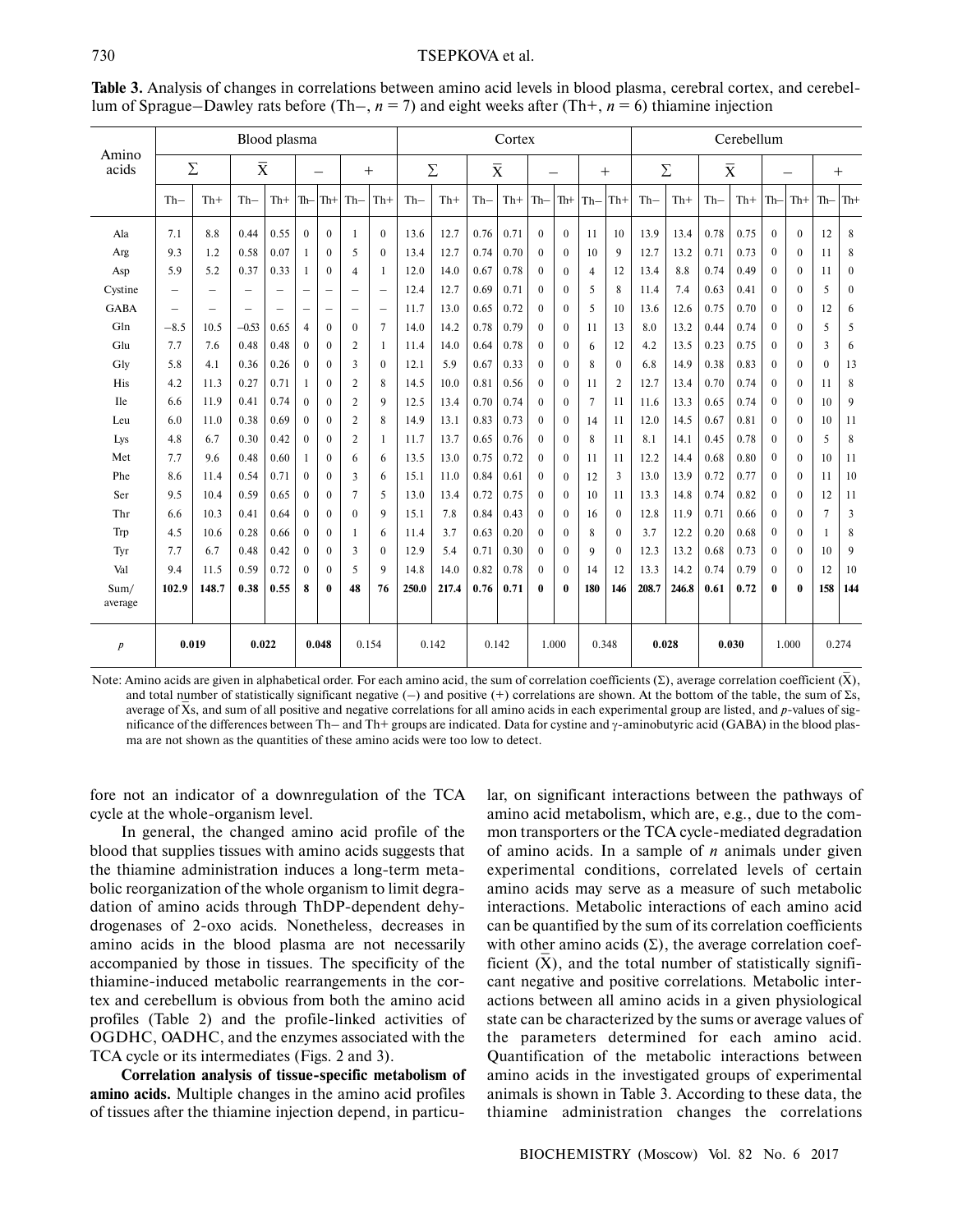### 730 TSEPKOVA et al.

|                     | Blood plasma             |                          |                          |                          |                          |                          |                          | Cortex                   |        |       |                         |       |              |                  |                | Cerebellum     |                |       |                         |       |                  |                  |                |              |
|---------------------|--------------------------|--------------------------|--------------------------|--------------------------|--------------------------|--------------------------|--------------------------|--------------------------|--------|-------|-------------------------|-------|--------------|------------------|----------------|----------------|----------------|-------|-------------------------|-------|------------------|------------------|----------------|--------------|
| Amino<br>Σ<br>acids |                          |                          | $\overline{X}$           |                          |                          |                          | $+$                      |                          | $\sum$ |       | $\overline{\mathbf{X}}$ |       |              |                  | $^{+}$         |                | $\bar{\Sigma}$ |       | $\overline{\mathbf{X}}$ |       |                  |                  | $+$            |              |
|                     | $Th-$                    | $Th+$                    | $Th-$                    | $Th+$                    | Th—                      | $ \text{Th+} $           | $Th-$                    | $Th+$                    | $Th-$  | $Th+$ | $Th-$                   | $Th+$ | $Th-$        | $Th+$            | $Th-$          | $Th+$          | $Th-$          | $Th+$ | $Th-$                   | $Th+$ | $Th-$            | $Th+$            | $Th-$          | Th+          |
| Ala                 | 7.1                      | 8.8                      | 0.44                     | 0.55                     | $\theta$                 | $\theta$                 | $\overline{1}$           | $\Omega$                 | 13.6   | 12.7  | 0.76                    | 0.71  | $\Omega$     | $\mathbf{0}$     | 11             | 10             | 13.9           | 13.4  | 0.78                    | 0.75  | $\mathbf{0}$     | $\Omega$         | 12             | 8            |
| Arg                 | 9.3                      | 1.2                      | 0.58                     | 0.07                     |                          | $\theta$                 | 5                        | $\theta$                 | 13.4   | 12.7  | 0.74                    | 0.70  | $\Omega$     | $\mathbf{0}$     | 10             | 9              | 12.7           | 13.2  | 0.71                    | 0.73  | $\boldsymbol{0}$ | $\theta$         | 11             | 8            |
| Asp                 | 5.9                      | 5.2                      | 0.37                     | 0.33                     |                          | $\mathbf{0}$             | $\overline{4}$           | $\mathbf{1}$             | 12.0   | 14.0  | 0.67                    | 0.78  | $\mathbf{0}$ | $\boldsymbol{0}$ | $\overline{4}$ | 12             | 13.4           | 8.8   | 0.74                    | 0.49  | $\Omega$         | $\boldsymbol{0}$ | 11             | $\mathbf{0}$ |
| Cystine             | $\overline{\phantom{0}}$ | $\overline{\phantom{0}}$ | $\overline{\phantom{0}}$ | $\overline{\phantom{0}}$ |                          | $\overline{\phantom{0}}$ | $\overline{\phantom{0}}$ |                          | 12.4   | 12.7  | 0.69                    | 0.71  | $\Omega$     | $\mathbf{0}$     | 5              | 8              | 11.4           | 7.4   | 0.63                    | 0.41  | $\boldsymbol{0}$ | $\boldsymbol{0}$ | 5              | $\mathbf{0}$ |
| <b>GABA</b>         | $\overline{\phantom{0}}$ | $\overline{\phantom{0}}$ | $\overline{\phantom{0}}$ | $\overline{\phantom{0}}$ | $\overline{\phantom{0}}$ | $\overline{\phantom{0}}$ | $\overline{\phantom{0}}$ | $\overline{\phantom{0}}$ | 11.7   | 13.0  | 0.65                    | 0.72  | $\Omega$     | $\mathbf{0}$     | 5              | 10             | 13.6           | 12.6  | 0.75                    | 0.70  | $\theta$         | $\theta$         | 12             | 6            |
| Gln                 | $-8.5$                   | 10.5                     | $-0.53$                  | 0.65                     | $\overline{4}$           | $\mathbf{0}$             | $\mathbf{0}$             | $\overline{7}$           | 14.0   | 14.2  | 0.78                    | 0.79  | $\Omega$     | $\mathbf{0}$     | 11             | 13             | 8.0            | 13.2  | 0.44                    | 0.74  | $\mathbf{0}$     | $\boldsymbol{0}$ | 5              | 5            |
| Glu                 | 7.7                      | 7.6                      | 0.48                     | 0.48                     | $\mathbf{0}$             | $\mathbf{0}$             | $\overline{2}$           | $\mathbf{1}$             | 11.4   | 14.0  | 0.64                    | 0.78  | $\mathbf{0}$ | $\boldsymbol{0}$ | 6              | 12             | 4.2            | 13.5  | 0.23                    | 0.75  | $\boldsymbol{0}$ | $\boldsymbol{0}$ | 3              | 6            |
| Gly                 | 5.8                      | 4.1                      | 0.36                     | 0.26                     | $\theta$                 | $\theta$                 | 3                        | $\theta$                 | 12.1   | 5.9   | 0.67                    | 0.33  | $\theta$     | $\mathbf{0}$     | 8              | $\theta$       | 6.8            | 14.9  | 0.38                    | 0.83  | $\mathbf{0}$     | $\theta$         | $\theta$       | 13           |
| His                 | 4.2                      | 11.3                     | 0.27                     | 0.71                     | 1                        | $\mathbf{0}$             | $\overline{2}$           | 8                        | 14.5   | 10.0  | 0.81                    | 0.56  | $\theta$     | $\mathbf{0}$     | 11             | $\overline{2}$ | 12.7           | 13.4  | 0.70                    | 0.74  | $\theta$         | $\theta$         | 11             | 8            |
| <b>Ile</b>          | 6.6                      | 11.9                     | 0.41                     | 0.74                     | $\mathbf{0}$             | $\mathbf{0}$             | $\overline{2}$           | 9                        | 12.5   | 13.4  | 0.70                    | 0.74  | $\Omega$     | $\mathbf{0}$     | 7              | 11             | 11.6           | 13.3  | 0.65                    | 0.74  | $\boldsymbol{0}$ | $\theta$         | 10             | 9            |
| Leu                 | 6.0                      | 11.0                     | 0.38                     | 0.69                     | $\mathbf{0}$             | $\mathbf{0}$             | $\overline{2}$           | 8                        | 14.9   | 13.1  | 0.83                    | 0.73  | $\mathbf{0}$ | $\mathbf{0}$     | 14             | 11             | 12.0           | 14.5  | 0.67                    | 0.81  | $\boldsymbol{0}$ | $\boldsymbol{0}$ | 10             | 11           |
| Lys                 | 4.8                      | 6.7                      | 0.30                     | 0.42                     | $\theta$                 | $\theta$                 | $\overline{2}$           | 1                        | 11.7   | 13.7  | 0.65                    | 0.76  | $\Omega$     | $\mathbf{0}$     | 8              | 11             | 8.1            | 14.1  | 0.45                    | 0.78  | $\boldsymbol{0}$ | $\theta$         | 5              | 8            |
| Met                 | 7.7                      | 9.6                      | 0.48                     | 0.60                     | 1                        | $\theta$                 | 6                        | 6                        | 13.5   | 13.0  | 0.75                    | 0.72  | $\theta$     | $\mathbf{0}$     | 11             | 11             | 12.2           | 14.4  | 0.68                    | 0.80  | $\theta$         | $\theta$         | 10             | 11           |
| Phe                 | 8.6                      | 11.4                     | 0.54                     | 0.71                     | $\theta$                 | $\theta$                 | $\overline{\mathbf{3}}$  | 6                        | 15.1   | 11.0  | 0.84                    | 0.61  | $\Omega$     | $\mathbf{0}$     | 12             | 3              | 13.0           | 13.9  | 0.72                    | 0.77  | $\theta$         | $\theta$         | 11             | 10           |
| Ser                 | 9.5                      | 10.4                     | 0.59                     | 0.65                     | $\mathbf{0}$             | $\theta$                 | 7                        | 5                        | 13.0   | 13.4  | 0.72                    | 0.75  | $\theta$     | $\mathbf{0}$     | 10             | 11             | 13.3           | 14.8  | 0.74                    | 0.82  | $\theta$         | $\theta$         | 12             | 11           |
| Thr                 | 6.6                      | 10.3                     | 0.41                     | 0.64                     | $\theta$                 | $\theta$                 | $\theta$                 | 9                        | 15.1   | 7.8   | 0.84                    | 0.43  | $\Omega$     | $\mathbf{0}$     | 16             | $\Omega$       | 12.8           | 11.9  | 0.71                    | 0.66  | $\theta$         | $\theta$         | $\overline{7}$ | 3            |
| Trp                 | 4.5                      | 10.6                     | 0.28                     | 0.66                     | $\mathbf{0}$             | $\theta$                 | $\overline{1}$           | 6                        | 11.4   | 3.7   | 0.63                    | 0.20  | $\theta$     | $\boldsymbol{0}$ | 8              | $\theta$       | 3.7            | 12.2  | 0.20                    | 0.68  | $\theta$         | $\theta$         | $\mathbf{1}$   | 8            |
| Tyr                 | 7.7                      | 6.7                      | 0.48                     | 0.42                     | $\theta$                 | $\mathbf{0}$             | 3                        | $\mathbf{0}$             | 12.9   | 5.4   | 0.71                    | 0.30  | $\Omega$     | $\mathbf{0}$     | 9              | $\theta$       | 12.3           | 13.2  | 0.68                    | 0.73  | $\theta$         | $\theta$         | 10             | 9            |
| Val                 | 9.4                      | 11.5                     | 0.59                     | 0.72                     | $\theta$                 | $\theta$                 | 5                        | 9                        | 14.8   | 14.0  | 0.82                    | 0.78  | $\mathbf{0}$ | $\mathbf{0}$     | 14             | 12             | 13.3           | 14.2  | 0.74                    | 0.79  | $\theta$         | $\Omega$         | 12             | 10           |
| Sum/<br>average     | 102.9                    | 148.7                    | 0.38                     | 0.55                     | 8                        | $\bf{0}$                 | 48                       | 76                       | 250.0  | 217.4 | 0.76                    | 0.71  | $\mathbf{0}$ | $\bf{0}$         | 180            | 146            | 208.7          | 246.8 | 0.61                    | 0.72  | 0                | 0                | 158            | 144          |
| $\boldsymbol{p}$    |                          | 0.019                    | 0.022                    |                          |                          | 0.048                    |                          | 0.154                    |        | 0.142 |                         | 0.142 |              | 1.000            | 0.348          |                |                | 0.028 |                         | 0.030 |                  | 1.000            |                | 0.274        |

**Table 3.** Analysis of changes in correlations between amino acid levels in blood plasma, cerebral cortex, and cerebel lum of Sprague–Dawley rats before (Th–, *n* = 7) and eight weeks after (Th+, *n* = 6) thiamine injection

Note: Amino acids are given in alphabetical order. For each amino acid, the sum of correlation coefficients (Σ), average correlation coefficient  $(X)$ , and total number of statistically significant negative (–) and positive (+) correlations are shown. At the bottom of the table, the sum of Σs, \_ average of X s, and sum of all positive and negative correlations for all amino acids in each experimental group are listed, and *p*-values of sig nificance of the differences between Th– and Th+ groups are indicated. Data for cystine and γ-aminobutyric acid (GABA) in the blood plas ma are not shown as the quantities of these amino acids were too low to detect.

fore not an indicator of a downregulation of the TCA cycle at the whole-organism level.

In general, the changed amino acid profile of the blood that supplies tissues with amino acids suggests that the thiamine administration induces a long-term meta bolic reorganization of the whole organism to limit degra dation of amino acids through ThDP-dependent dehy drogenases of 2-oxo acids. Nonetheless, decreases in amino acids in the blood plasma are not necessarily accompanied by those in tissues. The specificity of the thiamine-induced metabolic rearrangements in the cor tex and cerebellum is obvious from both the amino acid profiles (Table 2) and the profile-linked activities of OGDHC, OADHC, and the enzymes associated with the TCA cycle or its intermediates (Figs. 2 and 3).

**Correlation analysis of tissue-specific metabolism of amino acids.** Multiple changes in the amino acid profiles of tissues after the thiamine injection depend, in particular, on significant interactions between the pathways of amino acid metabolism, which are, e.g., due to the com mon transporters or the TCA cycle-mediated degradation of amino acids. In a sample of *n* animals under given experimental conditions, correlated levels of certain amino acids may serve as a measure of such metabolic interactions. Metabolic interactions of each amino acid can be quantified by the sum of its correlation coefficients with other amino acids  $(\Sigma)$ , the average correlation coefficient (X), and the total number of statistically significant negative and positive correlations. Metabolic inter actions between all amino acids in a given physiological state can be characterized by the sums or average values of the parameters determined for each amino acid. Quantification of the metabolic interactions between amino acids in the investigated groups of experimental animals is shown in Table 3. According to these data, the thiamine administration changes the correlations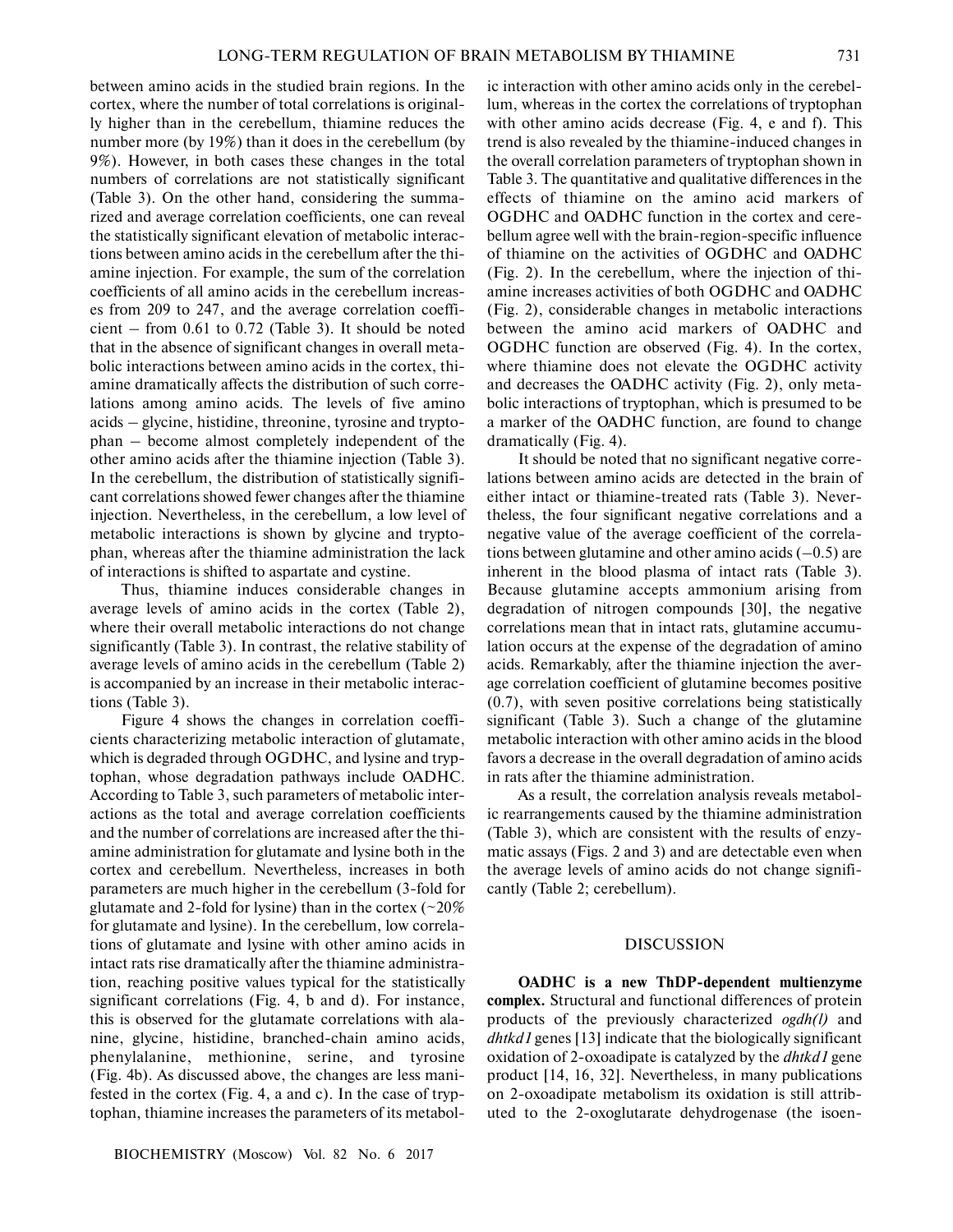between amino acids in the studied brain regions. In the cortex, where the number of total correlations is original ly higher than in the cerebellum, thiamine reduces the number more (by 19%) than it does in the cerebellum (by 9%). However, in both cases these changes in the total numbers of correlations are not statistically significant (Table 3). On the other hand, considering the summa rized and average correlation coefficients, one can reveal the statistically significant elevation of metabolic interac tions between amino acids in the cerebellum after the thi amine injection. For example, the sum of the correlation coefficients of all amino acids in the cerebellum increas es from 209 to 247, and the average correlation coeffi cient – from 0.61 to 0.72 (Table 3). It should be noted that in the absence of significant changes in overall meta bolic interactions between amino acids in the cortex, thi amine dramatically affects the distribution of such corre lations among amino acids. The levels of five amino acids – glycine, histidine, threonine, tyrosine and trypto phan – become almost completely independent of the other amino acids after the thiamine injection (Table 3). In the cerebellum, the distribution of statistically signifi cant correlations showed fewer changes after the thiamine injection. Nevertheless, in the cerebellum, a low level of metabolic interactions is shown by glycine and trypto phan, whereas after the thiamine administration the lack of interactions is shifted to aspartate and cystine.

Thus, thiamine induces considerable changes in average levels of amino acids in the cortex (Table 2), where their overall metabolic interactions do not change significantly (Table 3). In contrast, the relative stability of average levels of amino acids in the cerebellum (Table 2) is accompanied by an increase in their metabolic interac tions (Table 3).

Figure 4 shows the changes in correlation coeffi cients characterizing metabolic interaction of glutamate, which is degraded through OGDHC, and lysine and tryp tophan, whose degradation pathways include OADHC. According to Table 3, such parameters of metabolic inter actions as the total and average correlation coefficients and the number of correlations are increased after the thi amine administration for glutamate and lysine both in the cortex and cerebellum. Nevertheless, increases in both parameters are much higher in the cerebellum (3-fold for glutamate and 2-fold for lysine) than in the cortex ( $\sim$ 20% for glutamate and lysine). In the cerebellum, low correla tions of glutamate and lysine with other amino acids in intact rats rise dramatically after the thiamine administra tion, reaching positive values typical for the statistically significant correlations (Fig. 4, b and d). For instance, this is observed for the glutamate correlations with ala nine, glycine, histidine, branched-chain amino acids, phenylalanine, methionine, serine, and tyrosine (Fig. 4b). As discussed above, the changes are less mani fested in the cortex (Fig. 4, a and c). In the case of tryp tophan, thiamine increases the parameters of its metabol-

ic interaction with other amino acids only in the cerebel lum, whereas in the cortex the correlations of tryptophan with other amino acids decrease (Fig. 4, e and f). This trend is also revealed by the thiamine-induced changes in the overall correlation parameters of tryptophan shown in Table 3. The quantitative and qualitative differences in the effects of thiamine on the amino acid markers of OGDHC and OADHC function in the cortex and cere bellum agree well with the brain-region-specific influence of thiamine on the activities of OGDHC and OADHC (Fig. 2). In the cerebellum, where the injection of thi amine increases activities of both OGDHC and OADHC (Fig. 2), considerable changes in metabolic interactions between the amino acid markers of OADHC and OGDHC function are observed (Fig. 4). In the cortex, where thiamine does not elevate the OGDHC activity and decreases the OADHC activity (Fig. 2), only meta bolic interactions of tryptophan, which is presumed to be a marker of the OADHC function, are found to change dramatically (Fig. 4).

It should be noted that no significant negative corre lations between amino acids are detected in the brain of either intact or thiamine-treated rats (Table 3). Never theless, the four significant negative correlations and a negative value of the average coefficient of the correla tions between glutamine and other amino acids  $(-0.5)$  are inherent in the blood plasma of intact rats (Table 3). Because glutamine accepts ammonium arising from degradation of nitrogen compounds [30], the negative correlations mean that in intact rats, glutamine accumu lation occurs at the expense of the degradation of amino acids. Remarkably, after the thiamine injection the aver age correlation coefficient of glutamine becomes positive (0.7), with seven positive correlations being statistically significant (Table 3). Such a change of the glutamine metabolic interaction with other amino acids in the blood favors a decrease in the overall degradation of amino acids in rats after the thiamine administration.

As a result, the correlation analysis reveals metabol ic rearrangements caused by the thiamine administration (Table 3), which are consistent with the results of enzy matic assays (Figs. 2 and 3) and are detectable even when the average levels of amino acids do not change signifi cantly (Table 2; cerebellum).

#### DISCUSSION

**OADHC is a new ThDP-dependent multienzyme complex.** Structural and functional differences of protein products of the previously characterized *ogdh(l)* and *dhtkd1* genes [13] indicate that the biologically significant oxidation of 2-oxoadipate is catalyzed by the *dhtkd1* gene product [14, 16, 32]. Nevertheless, in many publications on 2-oxoadipate metabolism its oxidation is still attrib uted to the 2-oxoglutarate dehydrogenase (the isoen-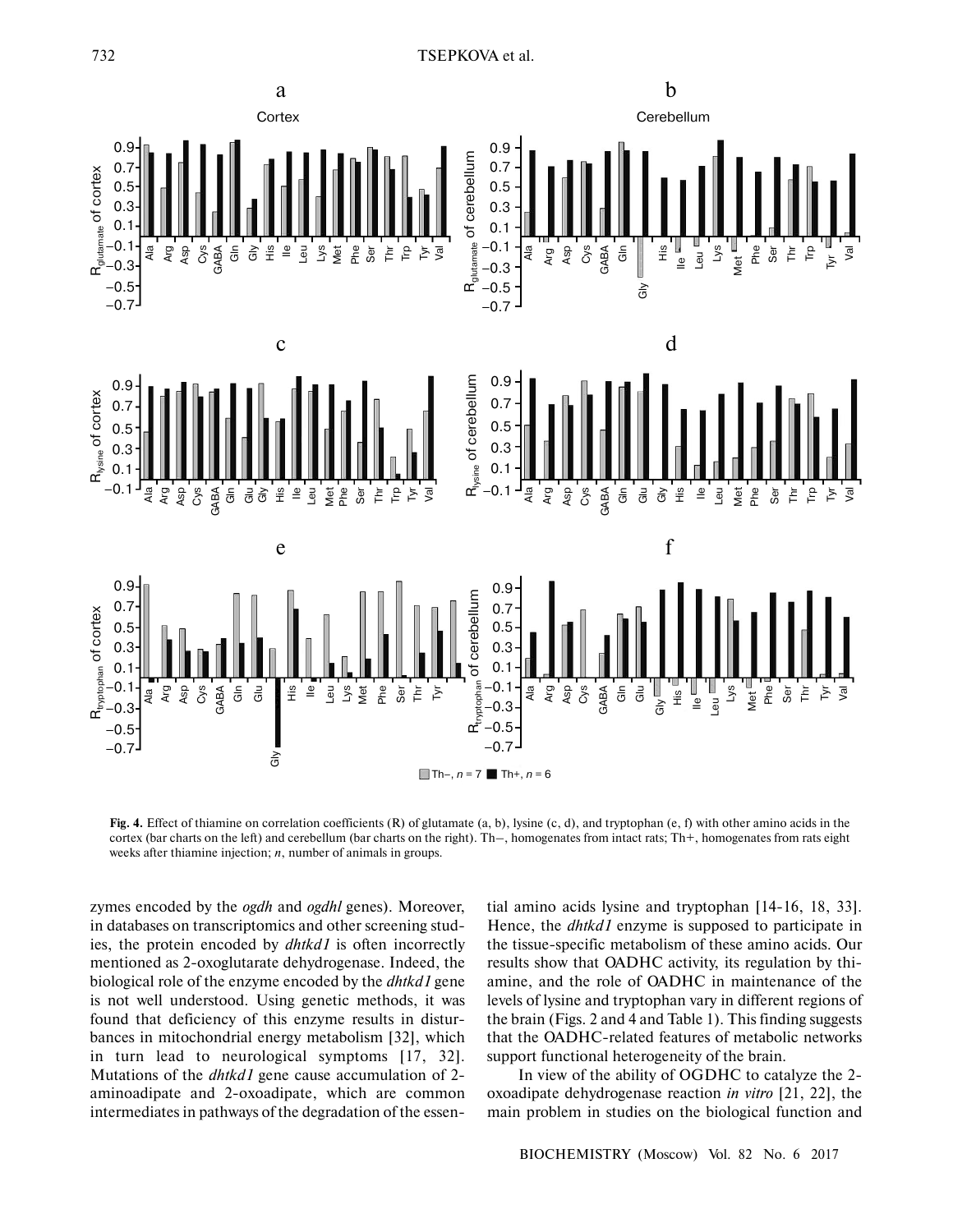

**Fig. 4.** Effect of thiamine on correlation coefficients (R) of glutamate (a, b), lysine (c, d), and tryptophan (e, f) with other amino acids in the cortex (bar charts on the left) and cerebellum (bar charts on the right). Th–, homogenates from intact rats; Th+, homogenates from rats eight weeks after thiamine injection; *n*, number of animals in groups.

zymes encoded by the *ogdh* and *ogdhl* genes). Moreover, in databases on transcriptomics and other screening stud ies, the protein encoded by *dhtkd1* is often incorrectly mentioned as 2-oxoglutarate dehydrogenase. Indeed, the biological role of the enzyme encoded by the *dhtkd1* gene is not well understood. Using genetic methods, it was found that deficiency of this enzyme results in distur bances in mitochondrial energy metabolism [32], which in turn lead to neurological symptoms [17, 32]. Mutations of the *dhtkd1* gene cause accumulation of 2 aminoadipate and 2-oxoadipate, which are common intermediates in pathways of the degradation of the essen-

tial amino acids lysine and tryptophan [14-16, 18, 33]. Hence, the *dhtkd1* enzyme is supposed to participate in the tissue-specific metabolism of these amino acids. Our results show that OADHC activity, its regulation by thi amine, and the role of OADHC in maintenance of the levels of lysine and tryptophan vary in different regions of the brain (Figs. 2 and 4 and Table 1). This finding suggests that the OADHC-related features of metabolic networks support functional heterogeneity of the brain.

In view of the ability of OGDHC to catalyze the 2 oxoadipate dehydrogenase reaction *in vitro* [21, 22], the main problem in studies on the biological function and

BIOCHEMISTRY (Moscow) Vol. 82 No. 6 2017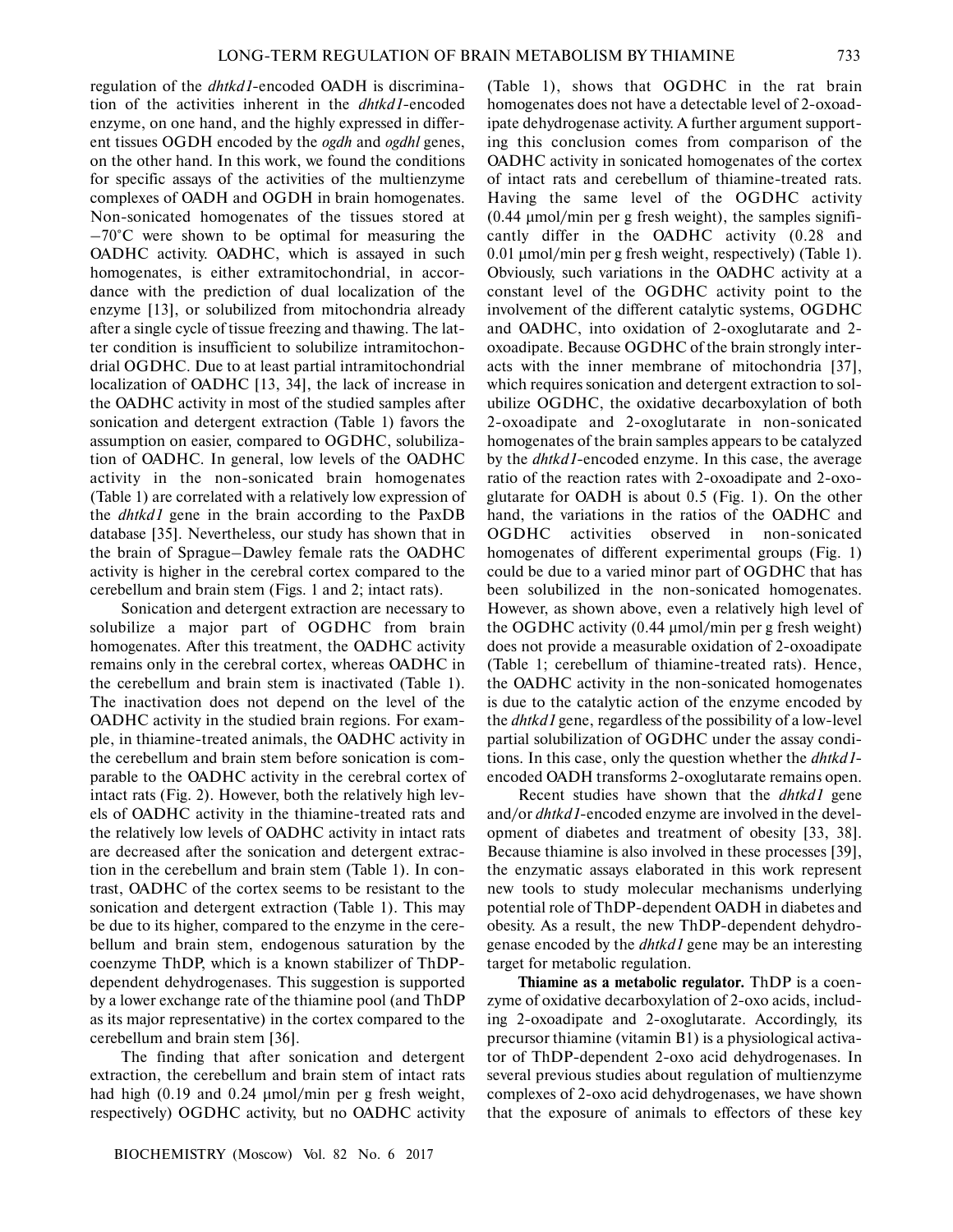regulation of the *dhtkd1*-encoded OADH is discrimina tion of the activities inherent in the *dhtkd1*-encoded enzyme, on one hand, and the highly expressed in differ ent tissues OGDH encoded by the *ogdh* and *ogdhl* genes, on the other hand. In this work, we found the conditions for specific assays of the activities of the multienzyme complexes of OADH and OGDH in brain homogenates. Non-sonicated homogenates of the tissues stored at  $-70^{\circ}$ C were shown to be optimal for measuring the OADHC activity. OADHC, which is assayed in such homogenates, is either extramitochondrial, in accor dance with the prediction of dual localization of the enzyme [13], or solubilized from mitochondria already after a single cycle of tissue freezing and thawing. The lat ter condition is insufficient to solubilize intramitochon drial OGDHC. Due to at least partial intramitochondrial localization of OADHC [13, 34], the lack of increase in the OADHC activity in most of the studied samples after sonication and detergent extraction (Table 1) favors the assumption on easier, compared to OGDHC, solubiliza tion of OADHC. In general, low levels of the OADHC activity in the non-sonicated brain homogenates (Table 1) are correlated with a relatively low expression of the *dhtkd1* gene in the brain according to the PaxDB database [35]. Nevertheless, our study has shown that in the brain of Sprague–Dawley female rats the OADHC activity is higher in the cerebral cortex compared to the cerebellum and brain stem (Figs. 1 and 2; intact rats).

Sonication and detergent extraction are necessary to solubilize a major part of OGDHC from brain homogenates. After this treatment, the OADHC activity remains only in the cerebral cortex, whereas OADHC in the cerebellum and brain stem is inactivated (Table 1). The inactivation does not depend on the level of the OADHC activity in the studied brain regions. For exam ple, in thiamine-treated animals, the OADHC activity in the cerebellum and brain stem before sonication is com parable to the OADHC activity in the cerebral cortex of intact rats (Fig. 2). However, both the relatively high lev els of OADHC activity in the thiamine-treated rats and the relatively low levels of OADHC activity in intact rats are decreased after the sonication and detergent extrac tion in the cerebellum and brain stem (Table 1). In con trast, OADHC of the cortex seems to be resistant to the sonication and detergent extraction (Table 1). This may be due to its higher, compared to the enzyme in the cere bellum and brain stem, endogenous saturation by the coenzyme ThDP, which is a known stabilizer of ThDP dependent dehydrogenases. This suggestion is supported by a lower exchange rate of the thiamine pool (and ThDP as its major representative) in the cortex compared to the cerebellum and brain stem [36].

The finding that after sonication and detergent extraction, the cerebellum and brain stem of intact rats had high (0.19 and 0.24 μmol/min per g fresh weight, respectively) OGDHC activity, but no OADHC activity

(Table 1), shows that OGDHC in the rat brain homogenates does not have a detectable level of 2-oxoad ipate dehydrogenase activity. A further argument support ing this conclusion comes from comparison of the OADHC activity in sonicated homogenates of the cortex of intact rats and cerebellum of thiamine-treated rats. Having the same level of the OGDHC activity (0.44 μmol/min per g fresh weight), the samples signifi cantly differ in the OADHC activity (0.28 and 0.01 μmol/min per g fresh weight, respectively) (Table 1). Obviously, such variations in the OADHC activity at a constant level of the OGDHC activity point to the involvement of the different catalytic systems, OGDHC and OADHC, into oxidation of 2-oxoglutarate and 2 oxoadipate. Because OGDHC of the brain strongly inter acts with the inner membrane of mitochondria [37], which requires sonication and detergent extraction to sol ubilize OGDHC, the oxidative decarboxylation of both 2-oxoadipate and 2-oxoglutarate in non-sonicated homogenates of the brain samples appears to be catalyzed by the *dhtkd1*-encoded enzyme. In this case, the average ratio of the reaction rates with 2-oxoadipate and 2-oxoglutarate for OADH is about 0.5 (Fig. 1). On the other hand, the variations in the ratios of the OADHC and OGDHC activities observed in non-sonicated homogenates of different experimental groups (Fig. 1) could be due to a varied minor part of OGDHC that has been solubilized in the non-sonicated homogenates. However, as shown above, even a relatively high level of the OGDHC activity (0.44 μmol/min per g fresh weight) does not provide a measurable oxidation of 2-oxoadipate (Table 1; cerebellum of thiamine-treated rats). Hence, the OADHC activity in the non-sonicated homogenates is due to the catalytic action of the enzyme encoded by the *dhtkd1* gene, regardless of the possibility of a low-level partial solubilization of OGDHC under the assay condi tions. In this case, only the question whether the *dhtkd1* encoded OADH transforms 2-oxoglutarate remains open.

Recent studies have shown that the *dhtkd1* gene and/or *dhtkd1*-encoded enzyme are involved in the devel opment of diabetes and treatment of obesity [33, 38]. Because thiamine is also involved in these processes [39], the enzymatic assays elaborated in this work represent new tools to study molecular mechanisms underlying potential role of ThDP-dependent OADH in diabetes and obesity. As a result, the new ThDP-dependent dehydro genase encoded by the *dhtkd1* gene may be an interesting target for metabolic regulation.

**Thiamine as a metabolic regulator.** ThDP is a coen zyme of oxidative decarboxylation of 2-oxo acids, includ ing 2-oxoadipate and 2-oxoglutarate. Accordingly, its precursor thiamine (vitamin B1) is a physiological activa tor of ThDP-dependent 2-oxo acid dehydrogenases. In several previous studies about regulation of multienzyme complexes of 2-oxo acid dehydrogenases, we have shown that the exposure of animals to effectors of these key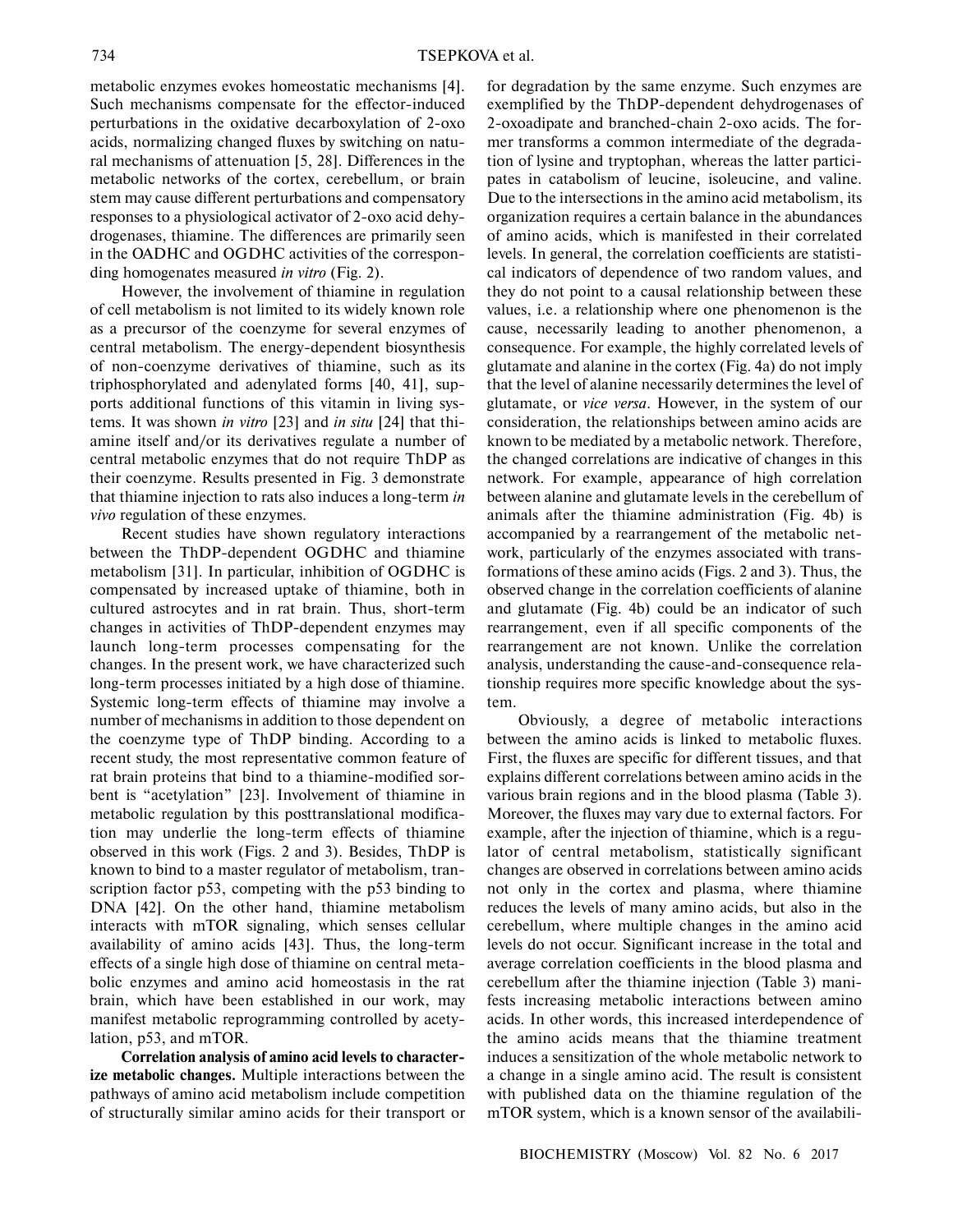metabolic enzymes evokes homeostatic mechanisms [4]. Such mechanisms compensate for the effector-induced perturbations in the oxidative decarboxylation of 2-oxo acids, normalizing changed fluxes by switching on natu ral mechanisms of attenuation [5, 28]. Differences in the metabolic networks of the cortex, cerebellum, or brain stem may cause different perturbations and compensatory responses to a physiological activator of 2-oxo acid dehy drogenases, thiamine. The differences are primarily seen in the OADHC and OGDHC activities of the correspon ding homogenates measured *in vitro* (Fig. 2).

However, the involvement of thiamine in regulation of cell metabolism is not limited to its widely known role as a precursor of the coenzyme for several enzymes of central metabolism. The energy-dependent biosynthesis of non-coenzyme derivatives of thiamine, such as its triphosphorylated and adenylated forms [40, 41], sup ports additional functions of this vitamin in living sys tems. It was shown *in vitro* [23] and *in situ* [24] that thi amine itself and/or its derivatives regulate a number of central metabolic enzymes that do not require ThDP as their coenzyme. Results presented in Fig. 3 demonstrate that thiamine injection to rats also induces a long-term *in vivo* regulation of these enzymes.

Recent studies have shown regulatory interactions between the ThDP-dependent OGDHC and thiamine metabolism [31]. In particular, inhibition of OGDHC is compensated by increased uptake of thiamine, both in cultured astrocytes and in rat brain. Thus, short-term changes in activities of ThDP-dependent enzymes may launch long-term processes compensating for the changes. In the present work, we have characterized such long-term processes initiated by a high dose of thiamine. Systemic long-term effects of thiamine may involve a number of mechanisms in addition to those dependent on the coenzyme type of ThDP binding. According to a recent study, the most representative common feature of rat brain proteins that bind to a thiamine-modified sor bent is "acetylation" [23]. Involvement of thiamine in metabolic regulation by this posttranslational modifica tion may underlie the long-term effects of thiamine observed in this work (Figs. 2 and 3). Besides, ThDP is known to bind to a master regulator of metabolism, tran scription factor p53, competing with the p53 binding to DNA [42]. On the other hand, thiamine metabolism interacts with mTOR signaling, which senses cellular availability of amino acids [43]. Thus, the long-term effects of a single high dose of thiamine on central meta bolic enzymes and amino acid homeostasis in the rat brain, which have been established in our work, may manifest metabolic reprogramming controlled by acety lation, p53, and mTOR.

**Correlation analysis of amino acid levels to character ize metabolic changes.** Multiple interactions between the pathways of amino acid metabolism include competition of structurally similar amino acids for their transport or for degradation by the same enzyme. Such enzymes are exemplified by the ThDP-dependent dehydrogenases of 2-oxoadipate and branched-chain 2-oxo acids. The for mer transforms a common intermediate of the degrada tion of lysine and tryptophan, whereas the latter partici pates in catabolism of leucine, isoleucine, and valine. Due to the intersections in the amino acid metabolism, its organization requires a certain balance in the abundances of amino acids, which is manifested in their correlated levels. In general, the correlation coefficients are statisti cal indicators of dependence of two random values, and they do not point to a causal relationship between these values, i.e. a relationship where one phenomenon is the cause, necessarily leading to another phenomenon, a consequence. For example, the highly correlated levels of glutamate and alanine in the cortex (Fig. 4a) do not imply that the level of alanine necessarily determines the level of glutamate, or *vice versa*. However, in the system of our consideration, the relationships between amino acids are known to be mediated by a metabolic network. Therefore, the changed correlations are indicative of changes in this network. For example, appearance of high correlation between alanine and glutamate levels in the cerebellum of animals after the thiamine administration (Fig. 4b) is accompanied by a rearrangement of the metabolic net work, particularly of the enzymes associated with trans formations of these amino acids (Figs. 2 and 3). Thus, the observed change in the correlation coefficients of alanine and glutamate (Fig. 4b) could be an indicator of such rearrangement, even if all specific components of the rearrangement are not known. Unlike the correlation analysis, understanding the cause-and-consequence rela tionship requires more specific knowledge about the sys tem.

Obviously, a degree of metabolic interactions between the amino acids is linked to metabolic fluxes. First, the fluxes are specific for different tissues, and that explains different correlations between amino acids in the various brain regions and in the blood plasma (Table 3). Moreover, the fluxes may vary due to external factors. For example, after the injection of thiamine, which is a regu lator of central metabolism, statistically significant changes are observed in correlations between amino acids not only in the cortex and plasma, where thiamine reduces the levels of many amino acids, but also in the cerebellum, where multiple changes in the amino acid levels do not occur. Significant increase in the total and average correlation coefficients in the blood plasma and cerebellum after the thiamine injection (Table 3) mani fests increasing metabolic interactions between amino acids. In other words, this increased interdependence of the amino acids means that the thiamine treatment induces a sensitization of the whole metabolic network to a change in a single amino acid. The result is consistent with published data on the thiamine regulation of the mTOR system, which is a known sensor of the availabili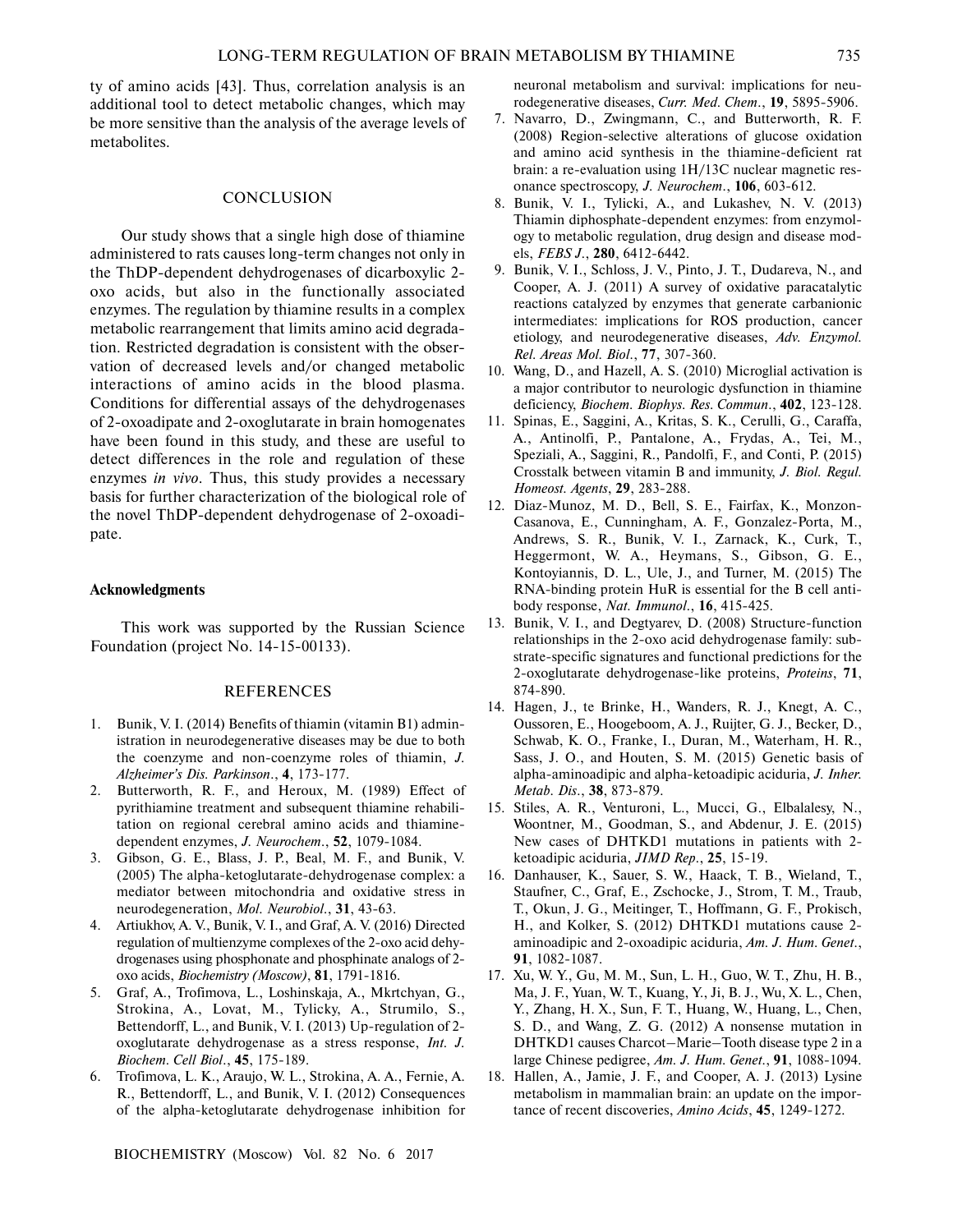ty of amino acids [43]. Thus, correlation analysis is an additional tool to detect metabolic changes, which may be more sensitive than the analysis of the average levels of metabolites.

# **CONCLUSION**

Our study shows that a single high dose of thiamine administered to rats causes long-term changes not only in the ThDP-dependent dehydrogenases of dicarboxylic 2 oxo acids, but also in the functionally associated enzymes. The regulation by thiamine results in a complex metabolic rearrangement that limits amino acid degrada tion. Restricted degradation is consistent with the obser vation of decreased levels and/or changed metabolic interactions of amino acids in the blood plasma. Conditions for differential assays of the dehydrogenases of 2-oxoadipate and 2-oxoglutarate in brain homogenates have been found in this study, and these are useful to detect differences in the role and regulation of these enzymes *in vivo*. Thus, this study provides a necessary basis for further characterization of the biological role of the novel ThDP-dependent dehydrogenase of 2-oxoadi pate.

#### **Acknowledgments**

This work was supported by the Russian Science Foundation (project No. 14-15-00133).

#### REFERENCES

- 1. Bunik, V. I. (2014) Benefits of thiamin (vitamin B1) admin istration in neurodegenerative diseases may be due to both the coenzyme and non-coenzyme roles of thiamin, *J. Alzheimer's Dis. Parkinson*., **4**, 173-177.
- 2. Butterworth, R. F., and Heroux, M. (1989) Effect of pyrithiamine treatment and subsequent thiamine rehabili tation on regional cerebral amino acids and thiamine dependent enzymes, *J. Neurochem*., **52**, 1079-1084.
- 3. Gibson, G. E., Blass, J. P., Beal, M. F., and Bunik, V. (2005) The alpha-ketoglutarate-dehydrogenase complex: a mediator between mitochondria and oxidative stress in neurodegeneration, *Mol. Neurobiol*., **31**, 43-63.
- 4. Artiukhov, A. V., Bunik, V. I., and Graf, A. V. (2016) Directed regulation of multienzyme complexes of the 2-oxo acid dehy drogenases using phosphonate and phosphinate analogs of 2 oxo acids, *Biochemistry (Moscow)*, **81**, 1791-1816.
- 5. Graf, A., Trofimova, L., Loshinskaja, A., Mkrtchyan, G., Strokina, A., Lovat, M., Tylicky, A., Strumilo, S., Bettendorff, L., and Bunik, V. I. (2013) Up-regulation of 2oxoglutarate dehydrogenase as a stress response, *Int. J. Biochem. Cell Biol*., **45**, 175-189.
- 6. Trofimova, L. K., Araujo, W. L., Strokina, A. A., Fernie, A. R., Bettendorff, L., and Bunik, V. I. (2012) Consequences of the alpha-ketoglutarate dehydrogenase inhibition for

neuronal metabolism and survival: implications for neu rodegenerative diseases, *Curr. Med. Chem*., **19**, 5895-5906.

- 7. Navarro, D., Zwingmann, C., and Butterworth, R. F. (2008) Region-selective alterations of glucose oxidation and amino acid synthesis in the thiamine-deficient rat brain: a re-evaluation using 1H/13C nuclear magnetic res onance spectroscopy, *J. Neurochem*., **106**, 603-612.
- 8. Bunik, V. I., Tylicki, A., and Lukashev, N. V. (2013) Thiamin diphosphate-dependent enzymes: from enzymol ogy to metabolic regulation, drug design and disease mod els, *FEBS J*., **280**, 6412-6442.
- 9. Bunik, V. I., Schloss, J. V., Pinto, J. T., Dudareva, N., and Cooper, A. J. (2011) A survey of oxidative paracatalytic reactions catalyzed by enzymes that generate carbanionic intermediates: implications for ROS production, cancer etiology, and neurodegenerative diseases, *Adv. Enzymol. Rel. Areas Mol. Biol*., **77**, 307-360.
- 10. Wang, D., and Hazell, A. S. (2010) Microglial activation is a major contributor to neurologic dysfunction in thiamine deficiency, *Biochem. Biophys. Res. Commun*., **402**, 123-128.
- 11. Spinas, E., Saggini, A., Kritas, S. K., Cerulli, G., Caraffa, A., Antinolfi, P., Pantalone, A., Frydas, A., Tei, M., Speziali, A., Saggini, R., Pandolfi, F., and Conti, P. (2015) Crosstalk between vitamin B and immunity, *J. Biol. Regul. Homeost. Agents*, **29**, 283-288.
- 12. Diaz-Munoz, M. D., Bell, S. E., Fairfax, K., Monzon- Casanova, E., Cunningham, A. F., Gonzalez-Porta, M., Andrews, S. R., Bunik, V. I., Zarnack, K., Curk, T., Heggermont, W. A., Heymans, S., Gibson, G. E., Kontoyiannis, D. L., Ule, J., and Turner, M. (2015) The RNA-binding protein HuR is essential for the B cell anti body response, *Nat. Immunol*., **16**, 415-425.
- 13. Bunik, V. I., and Degtyarev, D. (2008) Structure-function relationships in the 2-oxo acid dehydrogenase family: sub strate-specific signatures and functional predictions for the 2-oxoglutarate dehydrogenase-like proteins, *Proteins*, **71**, 874-890.
- 14. Hagen, J., te Brinke, H., Wanders, R. J., Knegt, A. C., Oussoren, E., Hoogeboom, A. J., Ruijter, G. J., Becker, D., Schwab, K. O., Franke, I., Duran, M., Waterham, H. R., Sass, J. O., and Houten, S. M. (2015) Genetic basis of alpha-aminoadipic and alpha-ketoadipic aciduria, *J. Inher. Metab. Dis*., **38**, 873-879.
- 15. Stiles, A. R., Venturoni, L., Mucci, G., Elbalalesy, N., Woontner, M., Goodman, S., and Abdenur, J. E. (2015) New cases of DHTKD1 mutations in patients with 2 ketoadipic aciduria, *JIMD Rep*., **25**, 15-19.
- 16. Danhauser, K., Sauer, S. W., Haack, T. B., Wieland, T., Staufner, C., Graf, E., Zschocke, J., Strom, T. M., Traub, T., Okun, J. G., Meitinger, T., Hoffmann, G. F., Prokisch, H., and Kolker, S. (2012) DHTKD1 mutations cause 2 aminoadipic and 2-oxoadipic aciduria, *Am. J. Hum. Genet*., **91**, 1082-1087.
- 17. Xu, W. Y., Gu, M. M., Sun, L. H., Guo, W. T., Zhu, H. B., Ma, J. F., Yuan, W. T., Kuang, Y., Ji, B. J., Wu, X. L., Chen, Y., Zhang, H. X., Sun, F. T., Huang, W., Huang, L., Chen, S. D., and Wang, Z. G. (2012) A nonsense mutation in DHTKD1 causes Charcot–Marie–Tooth disease type 2 in a large Chinese pedigree, *Am. J. Hum. Genet*., **91**, 1088-1094.
- 18. Hallen, A., Jamie, J. F., and Cooper, A. J. (2013) Lysine metabolism in mammalian brain: an update on the impor tance of recent discoveries, *Amino Acids*, **45**, 1249-1272.